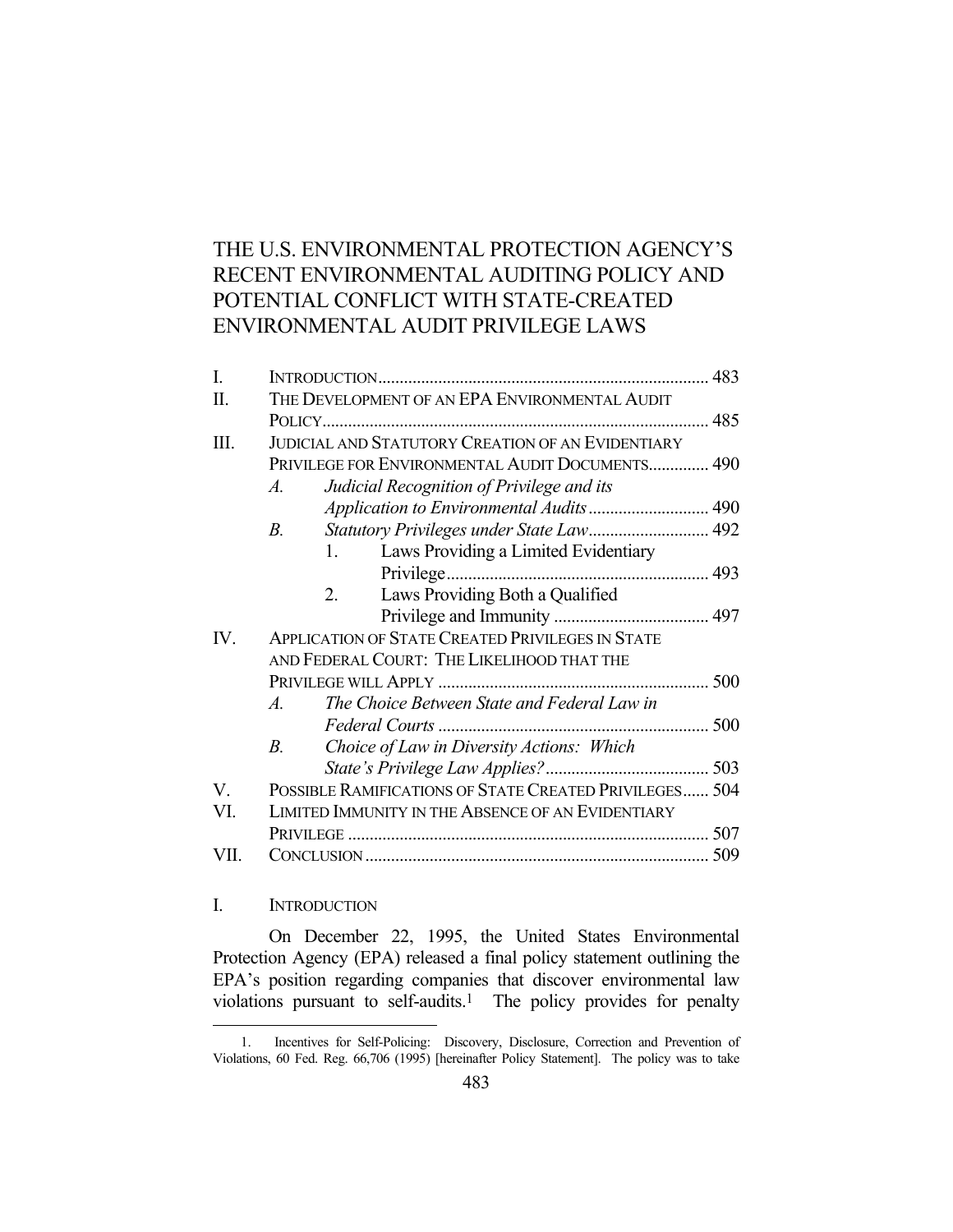# THE U.S. ENVIRONMENTAL PROTECTION AGENCY'S RECENT ENVIRONMENTAL AUDITING POLICY AND POTENTIAL CONFLICT WITH STATE-CREATED ENVIRONMENTAL AUDIT PRIVILEGE LAWS

| I.   |                                                          |  |
|------|----------------------------------------------------------|--|
| Π.   | THE DEVELOPMENT OF AN EPA ENVIRONMENTAL AUDIT            |  |
|      |                                                          |  |
| Ш.   | <b>JUDICIAL AND STATUTORY CREATION OF AN EVIDENTIARY</b> |  |
|      | PRIVILEGE FOR ENVIRONMENTAL AUDIT DOCUMENTS 490          |  |
|      | Judicial Recognition of Privilege and its<br>$A_{\cdot}$ |  |
|      |                                                          |  |
|      | Statutory Privileges under State Law 492<br><i>B</i> .   |  |
|      | Laws Providing a Limited Evidentiary<br>$1_{-}$          |  |
|      | Privilege.                                               |  |
|      | 2.<br>Laws Providing Both a Qualified                    |  |
|      |                                                          |  |
| IV.  | <b>APPLICATION OF STATE CREATED PRIVILEGES IN STATE</b>  |  |
|      | AND FEDERAL COURT: THE LIKELIHOOD THAT THE               |  |
|      |                                                          |  |
|      | The Choice Between State and Federal Law in<br>$A$ .     |  |
|      |                                                          |  |
|      | Choice of Law in Diversity Actions: Which<br>$B_{\cdot}$ |  |
|      |                                                          |  |
| V.   | POSSIBLE RAMIFICATIONS OF STATE CREATED PRIVILEGES 504   |  |
| VI.  | LIMITED IMMUNITY IN THE ABSENCE OF AN EVIDENTIARY        |  |
|      |                                                          |  |
| VII. |                                                          |  |
|      |                                                          |  |

## I. INTRODUCTION

<u>.</u>

 On December 22, 1995, the United States Environmental Protection Agency (EPA) released a final policy statement outlining the EPA's position regarding companies that discover environmental law violations pursuant to self-audits.<sup>1</sup> The policy provides for penalty

 <sup>1.</sup> Incentives for Self-Policing: Discovery, Disclosure, Correction and Prevention of Violations, 60 Fed. Reg. 66,706 (1995) [hereinafter Policy Statement]. The policy was to take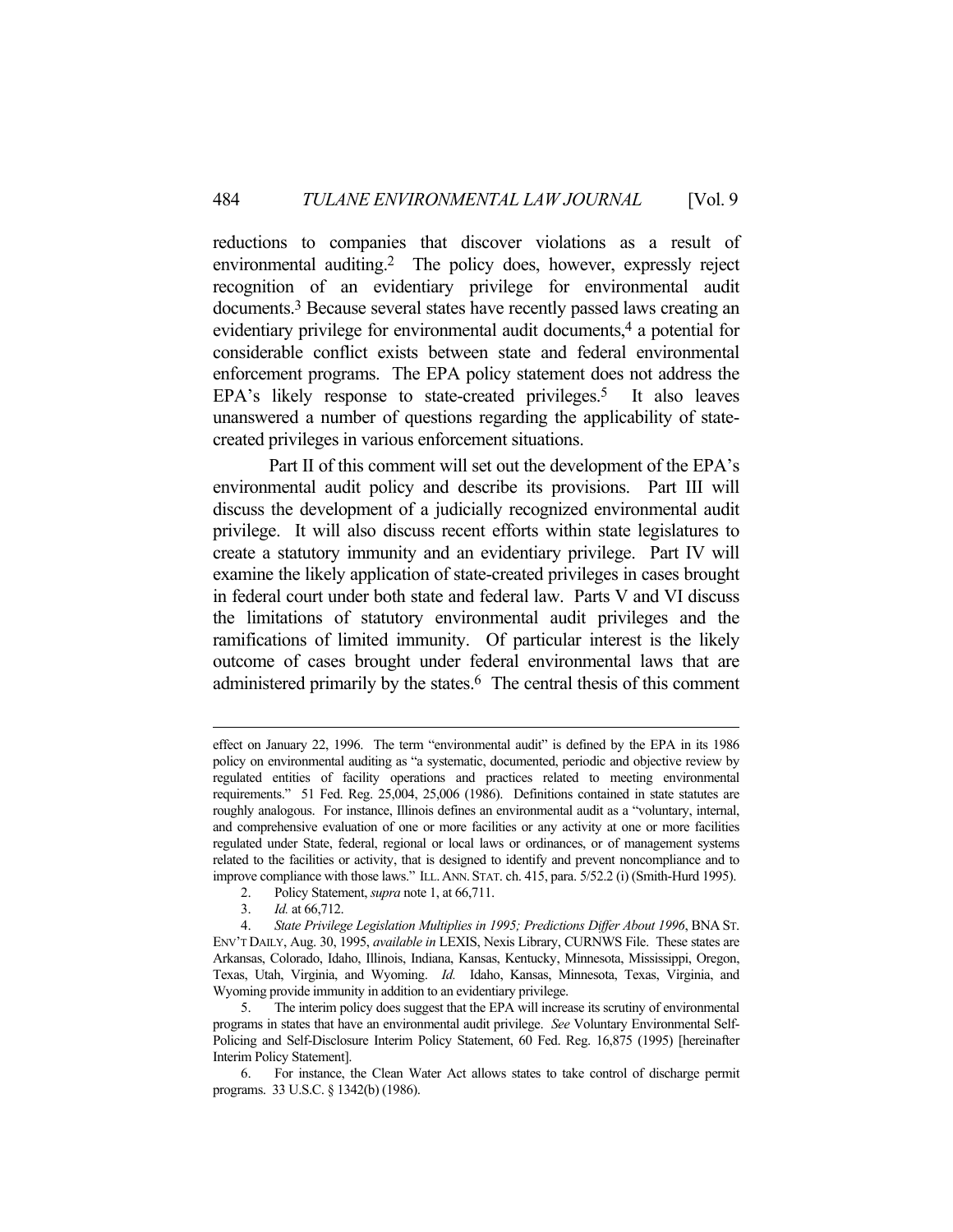reductions to companies that discover violations as a result of environmental auditing.2 The policy does, however, expressly reject recognition of an evidentiary privilege for environmental audit documents.3 Because several states have recently passed laws creating an evidentiary privilege for environmental audit documents,4 a potential for considerable conflict exists between state and federal environmental enforcement programs. The EPA policy statement does not address the EPA's likely response to state-created privileges.<sup>5</sup> It also leaves unanswered a number of questions regarding the applicability of statecreated privileges in various enforcement situations.

 Part II of this comment will set out the development of the EPA's environmental audit policy and describe its provisions. Part III will discuss the development of a judicially recognized environmental audit privilege. It will also discuss recent efforts within state legislatures to create a statutory immunity and an evidentiary privilege. Part IV will examine the likely application of state-created privileges in cases brought in federal court under both state and federal law. Parts V and VI discuss the limitations of statutory environmental audit privileges and the ramifications of limited immunity. Of particular interest is the likely outcome of cases brought under federal environmental laws that are administered primarily by the states.<sup>6</sup> The central thesis of this comment

effect on January 22, 1996. The term "environmental audit" is defined by the EPA in its 1986 policy on environmental auditing as "a systematic, documented, periodic and objective review by regulated entities of facility operations and practices related to meeting environmental requirements." 51 Fed. Reg. 25,004, 25,006 (1986). Definitions contained in state statutes are roughly analogous. For instance, Illinois defines an environmental audit as a "voluntary, internal, and comprehensive evaluation of one or more facilities or any activity at one or more facilities regulated under State, federal, regional or local laws or ordinances, or of management systems related to the facilities or activity, that is designed to identify and prevent noncompliance and to improve compliance with those laws." ILL.ANN. STAT. ch. 415, para. 5/52.2 (i) (Smith-Hurd 1995).

 <sup>2.</sup> Policy Statement, *supra* note 1, at 66,711.

 <sup>3.</sup> *Id.* at 66,712.

 <sup>4.</sup> *State Privilege Legislation Multiplies in 1995; Predictions Differ About 1996*, BNA ST. ENV'T DAILY, Aug. 30, 1995, *available in* LEXIS, Nexis Library, CURNWS File. These states are Arkansas, Colorado, Idaho, Illinois, Indiana, Kansas, Kentucky, Minnesota, Mississippi, Oregon, Texas, Utah, Virginia, and Wyoming. *Id.* Idaho, Kansas, Minnesota, Texas, Virginia, and Wyoming provide immunity in addition to an evidentiary privilege.

 <sup>5.</sup> The interim policy does suggest that the EPA will increase its scrutiny of environmental programs in states that have an environmental audit privilege. *See* Voluntary Environmental Self-Policing and Self-Disclosure Interim Policy Statement, 60 Fed. Reg. 16,875 (1995) [hereinafter Interim Policy Statement].

 <sup>6.</sup> For instance, the Clean Water Act allows states to take control of discharge permit programs. 33 U.S.C. § 1342(b) (1986).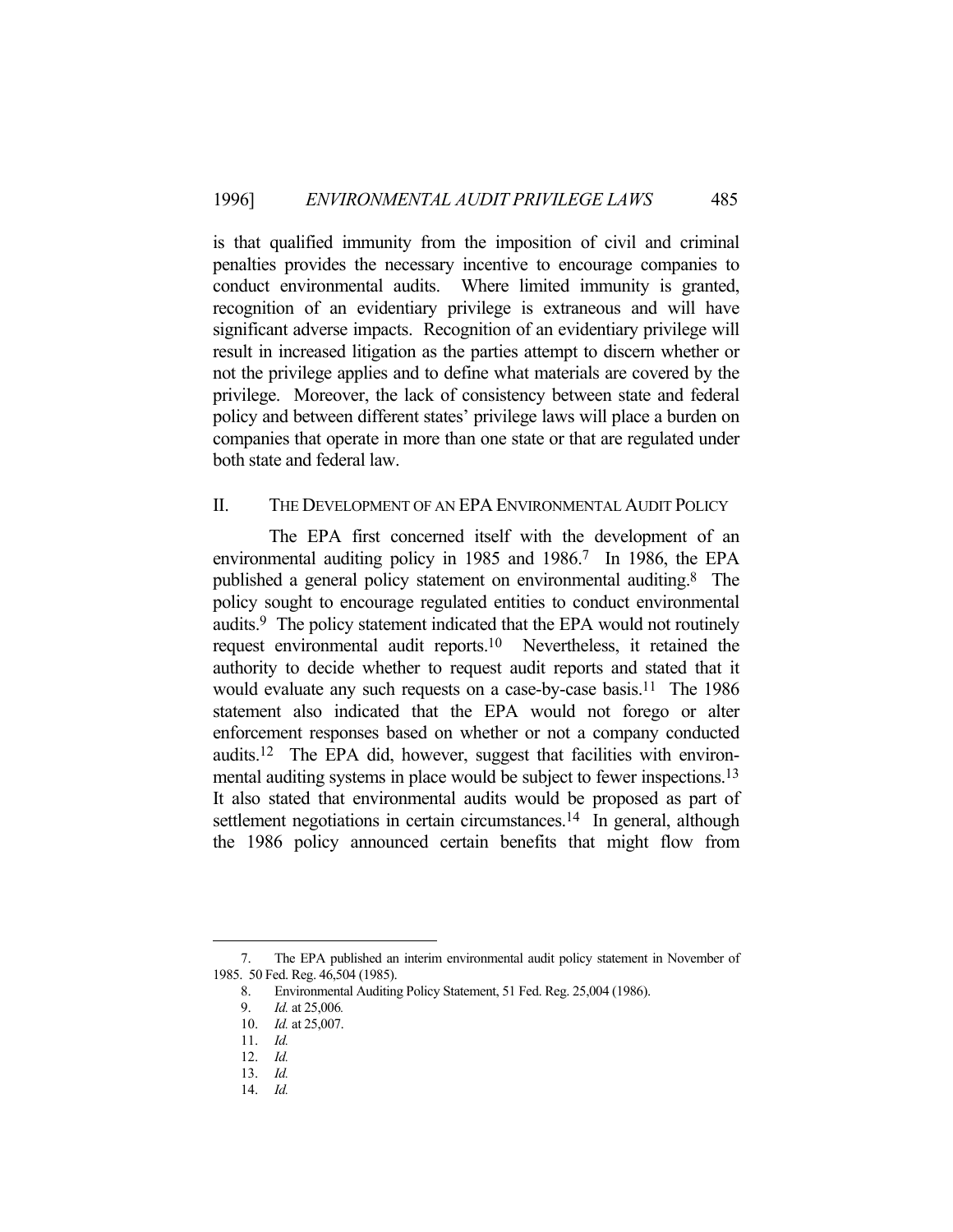is that qualified immunity from the imposition of civil and criminal penalties provides the necessary incentive to encourage companies to conduct environmental audits. Where limited immunity is granted, recognition of an evidentiary privilege is extraneous and will have significant adverse impacts. Recognition of an evidentiary privilege will result in increased litigation as the parties attempt to discern whether or not the privilege applies and to define what materials are covered by the privilege. Moreover, the lack of consistency between state and federal policy and between different states' privilege laws will place a burden on companies that operate in more than one state or that are regulated under both state and federal law.

## II. THE DEVELOPMENT OF AN EPA ENVIRONMENTAL AUDIT POLICY

 The EPA first concerned itself with the development of an environmental auditing policy in 1985 and 1986.<sup>7</sup> In 1986, the EPA published a general policy statement on environmental auditing.8 The policy sought to encourage regulated entities to conduct environmental audits.9 The policy statement indicated that the EPA would not routinely request environmental audit reports.10 Nevertheless, it retained the authority to decide whether to request audit reports and stated that it would evaluate any such requests on a case-by-case basis.11 The 1986 statement also indicated that the EPA would not forego or alter enforcement responses based on whether or not a company conducted audits.12 The EPA did, however, suggest that facilities with environmental auditing systems in place would be subject to fewer inspections.<sup>13</sup> It also stated that environmental audits would be proposed as part of settlement negotiations in certain circumstances.<sup>14</sup> In general, although the 1986 policy announced certain benefits that might flow from

 <sup>7.</sup> The EPA published an interim environmental audit policy statement in November of 1985. 50 Fed. Reg. 46,504 (1985).

 <sup>8.</sup> Environmental Auditing Policy Statement, 51 Fed. Reg. 25,004 (1986).

 <sup>9.</sup> *Id.* at 25,006*.*

 <sup>10.</sup> *Id.* at 25,007.

 <sup>11.</sup> *Id.*

 <sup>12.</sup> *Id.*

 <sup>13.</sup> *Id.*

 <sup>14.</sup> *Id.*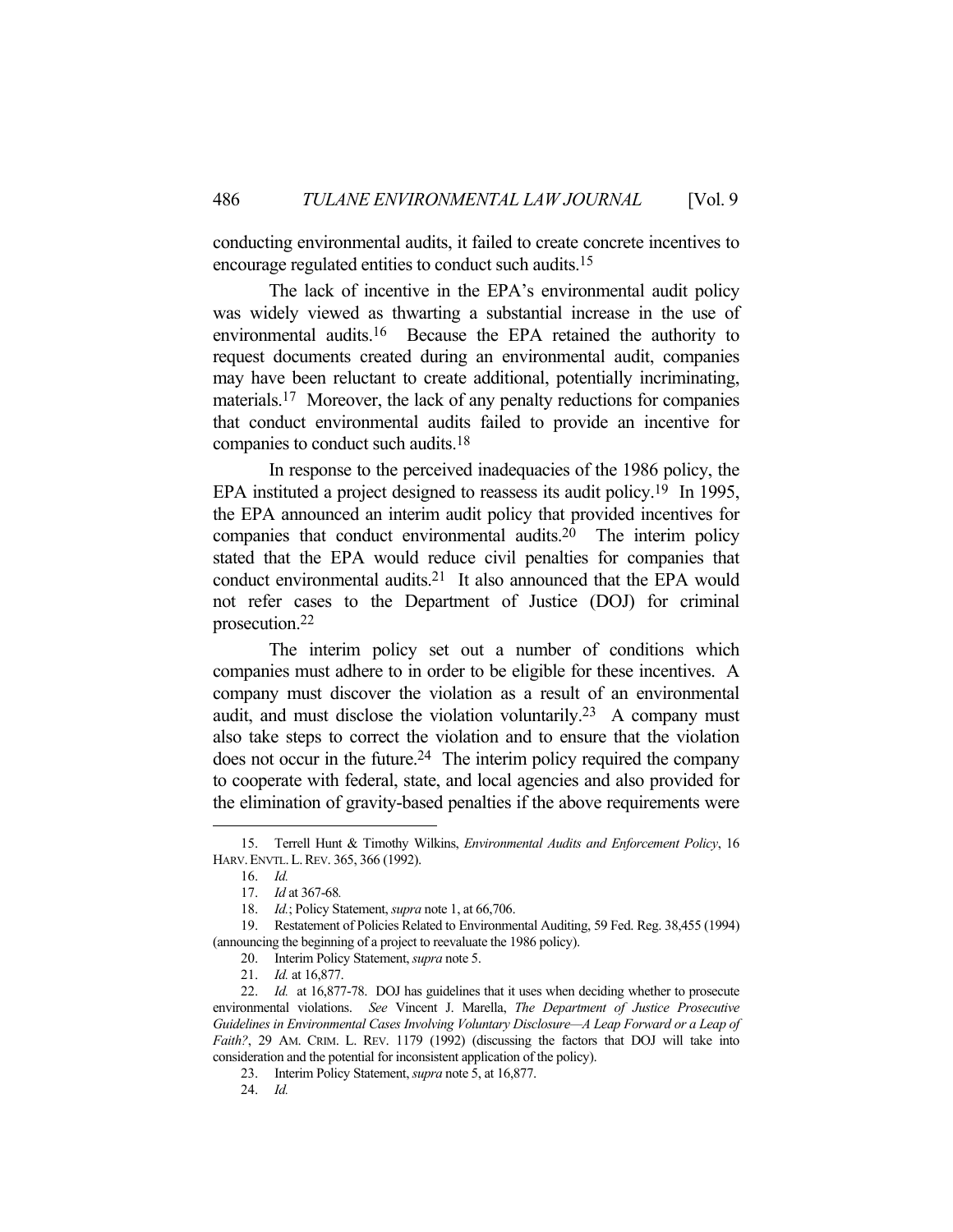conducting environmental audits, it failed to create concrete incentives to encourage regulated entities to conduct such audits.15

 The lack of incentive in the EPA's environmental audit policy was widely viewed as thwarting a substantial increase in the use of environmental audits.16 Because the EPA retained the authority to request documents created during an environmental audit, companies may have been reluctant to create additional, potentially incriminating, materials.17 Moreover, the lack of any penalty reductions for companies that conduct environmental audits failed to provide an incentive for companies to conduct such audits.18

 In response to the perceived inadequacies of the 1986 policy, the EPA instituted a project designed to reassess its audit policy.<sup>19</sup> In 1995, the EPA announced an interim audit policy that provided incentives for companies that conduct environmental audits.20 The interim policy stated that the EPA would reduce civil penalties for companies that conduct environmental audits.21 It also announced that the EPA would not refer cases to the Department of Justice (DOJ) for criminal prosecution.22

 The interim policy set out a number of conditions which companies must adhere to in order to be eligible for these incentives. A company must discover the violation as a result of an environmental audit, and must disclose the violation voluntarily.23 A company must also take steps to correct the violation and to ensure that the violation does not occur in the future.<sup>24</sup> The interim policy required the company to cooperate with federal, state, and local agencies and also provided for the elimination of gravity-based penalties if the above requirements were

 <sup>15.</sup> Terrell Hunt & Timothy Wilkins, *Environmental Audits and Enforcement Policy*, 16 HARV.ENVTL.L.REV. 365, 366 (1992).

 <sup>16.</sup> *Id.*

 <sup>17.</sup> *Id* at 367-68*.*

 <sup>18.</sup> *Id.*; Policy Statement, *supra* note 1, at 66,706.

 <sup>19.</sup> Restatement of Policies Related to Environmental Auditing, 59 Fed. Reg. 38,455 (1994) (announcing the beginning of a project to reevaluate the 1986 policy).

 <sup>20.</sup> Interim Policy Statement, *supra* note 5.

 <sup>21.</sup> *Id.* at 16,877.

 <sup>22.</sup> *Id.* at 16,877-78. DOJ has guidelines that it uses when deciding whether to prosecute environmental violations. *See* Vincent J. Marella, *The Department of Justice Prosecutive Guidelines in Environmental Cases Involving Voluntary Disclosure—A Leap Forward or a Leap of Faith?*, 29 AM. CRIM. L. REV. 1179 (1992) (discussing the factors that DOJ will take into consideration and the potential for inconsistent application of the policy).

 <sup>23.</sup> Interim Policy Statement, *supra* note 5, at 16,877.

 <sup>24.</sup> *Id.*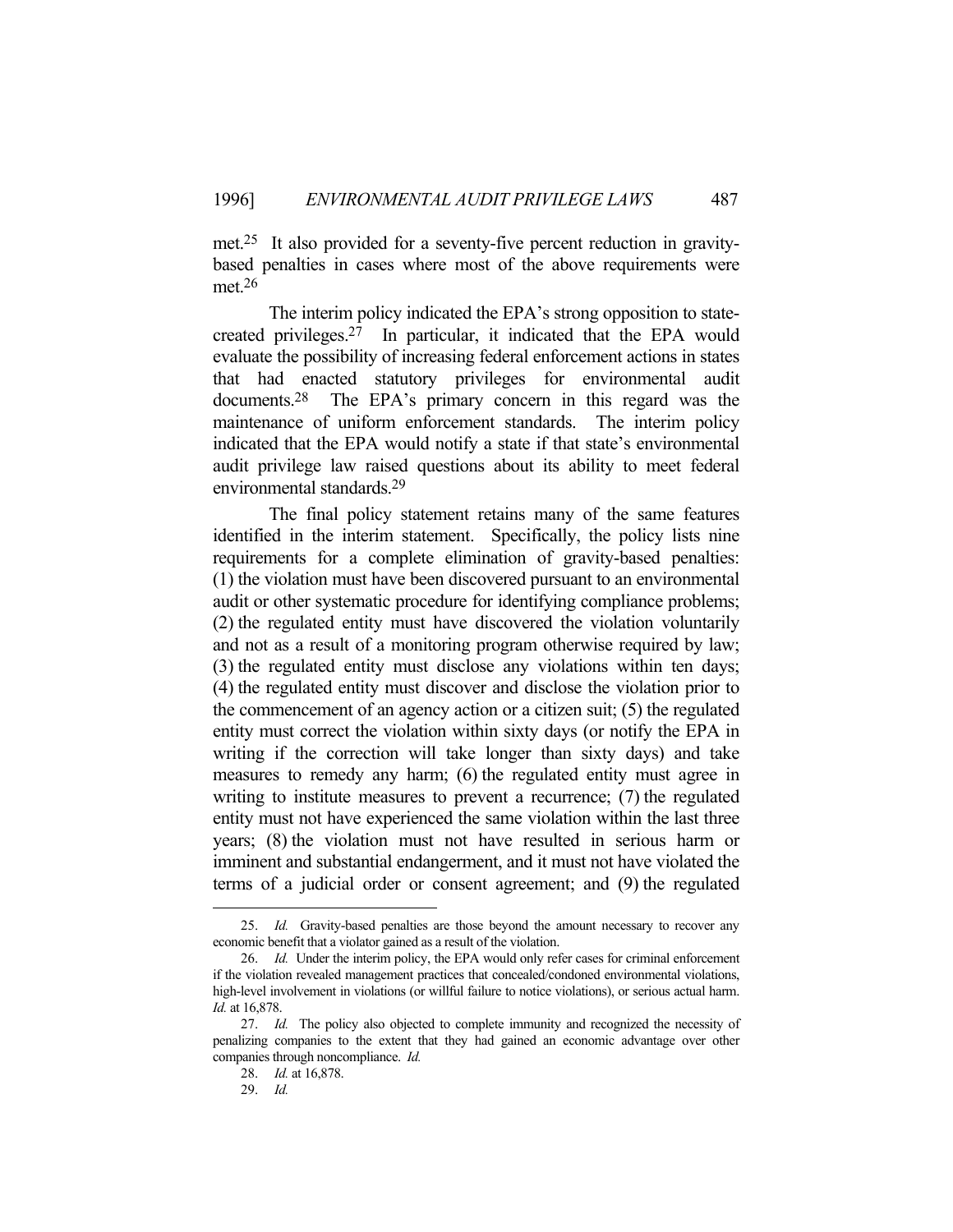met.25 It also provided for a seventy-five percent reduction in gravitybased penalties in cases where most of the above requirements were met<sup>26</sup>

 The interim policy indicated the EPA's strong opposition to statecreated privileges.27 In particular, it indicated that the EPA would evaluate the possibility of increasing federal enforcement actions in states that had enacted statutory privileges for environmental audit documents.28 The EPA's primary concern in this regard was the maintenance of uniform enforcement standards. The interim policy indicated that the EPA would notify a state if that state's environmental audit privilege law raised questions about its ability to meet federal environmental standards.29

 The final policy statement retains many of the same features identified in the interim statement. Specifically, the policy lists nine requirements for a complete elimination of gravity-based penalties: (1) the violation must have been discovered pursuant to an environmental audit or other systematic procedure for identifying compliance problems; (2) the regulated entity must have discovered the violation voluntarily and not as a result of a monitoring program otherwise required by law; (3) the regulated entity must disclose any violations within ten days; (4) the regulated entity must discover and disclose the violation prior to the commencement of an agency action or a citizen suit; (5) the regulated entity must correct the violation within sixty days (or notify the EPA in writing if the correction will take longer than sixty days) and take measures to remedy any harm; (6) the regulated entity must agree in writing to institute measures to prevent a recurrence; (7) the regulated entity must not have experienced the same violation within the last three years; (8) the violation must not have resulted in serious harm or imminent and substantial endangerment, and it must not have violated the terms of a judicial order or consent agreement; and (9) the regulated

 <sup>25.</sup> *Id.* Gravity-based penalties are those beyond the amount necessary to recover any economic benefit that a violator gained as a result of the violation.

<sup>26.</sup> *Id.* Under the interim policy, the EPA would only refer cases for criminal enforcement if the violation revealed management practices that concealed/condoned environmental violations, high-level involvement in violations (or willful failure to notice violations), or serious actual harm. *Id.* at 16,878.

 <sup>27.</sup> *Id.* The policy also objected to complete immunity and recognized the necessity of penalizing companies to the extent that they had gained an economic advantage over other companies through noncompliance. *Id.*

 <sup>28.</sup> *Id.* at 16,878.

 <sup>29.</sup> *Id.*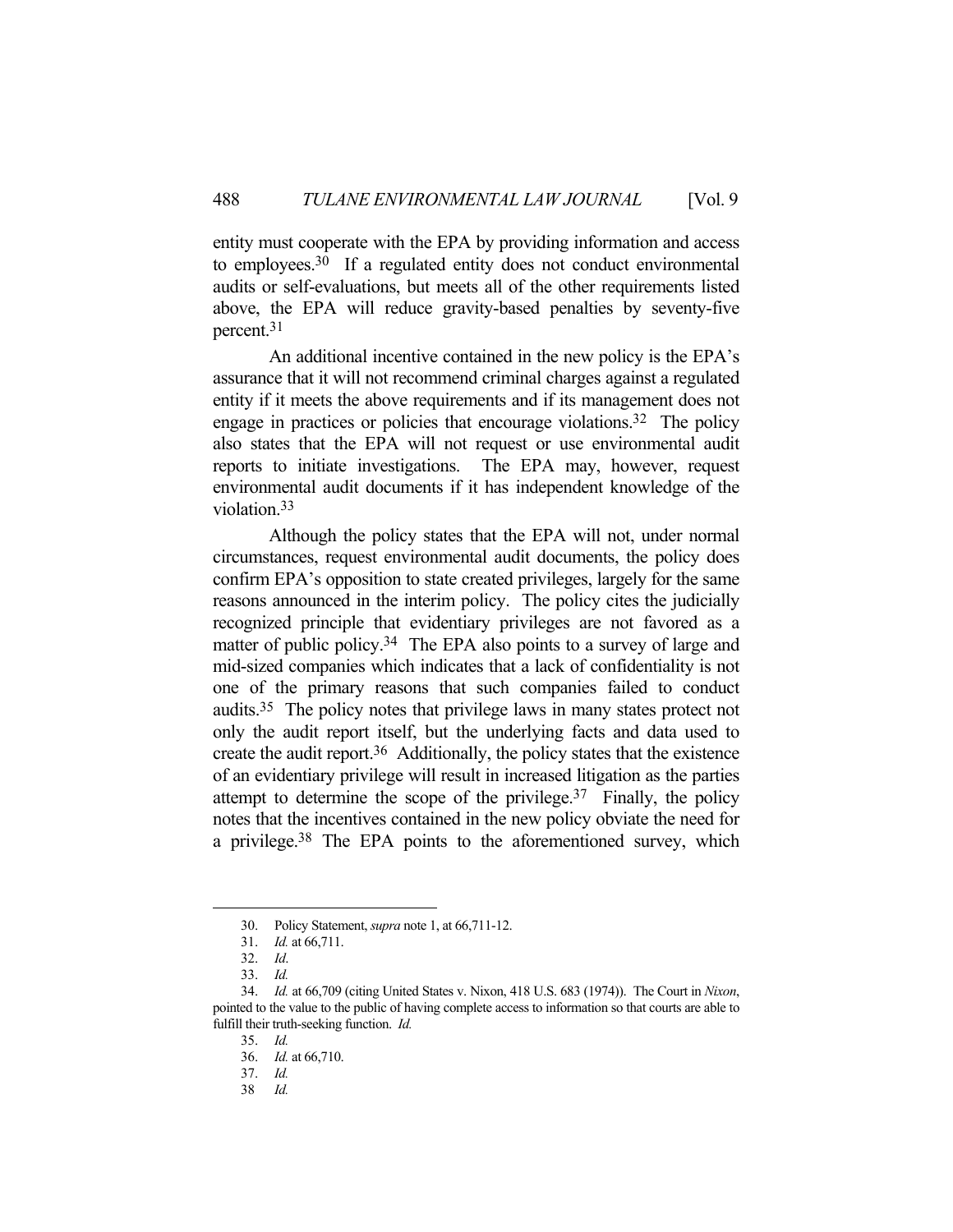entity must cooperate with the EPA by providing information and access to employees.30 If a regulated entity does not conduct environmental audits or self-evaluations, but meets all of the other requirements listed above, the EPA will reduce gravity-based penalties by seventy-five percent.31

 An additional incentive contained in the new policy is the EPA's assurance that it will not recommend criminal charges against a regulated entity if it meets the above requirements and if its management does not engage in practices or policies that encourage violations.32 The policy also states that the EPA will not request or use environmental audit reports to initiate investigations. The EPA may, however, request environmental audit documents if it has independent knowledge of the violation.33

 Although the policy states that the EPA will not, under normal circumstances, request environmental audit documents, the policy does confirm EPA's opposition to state created privileges, largely for the same reasons announced in the interim policy. The policy cites the judicially recognized principle that evidentiary privileges are not favored as a matter of public policy.<sup>34</sup> The EPA also points to a survey of large and mid-sized companies which indicates that a lack of confidentiality is not one of the primary reasons that such companies failed to conduct audits.35 The policy notes that privilege laws in many states protect not only the audit report itself, but the underlying facts and data used to create the audit report.36 Additionally, the policy states that the existence of an evidentiary privilege will result in increased litigation as the parties attempt to determine the scope of the privilege.<sup>37</sup> Finally, the policy notes that the incentives contained in the new policy obviate the need for a privilege.38 The EPA points to the aforementioned survey, which

 <sup>30.</sup> Policy Statement, *supra* note 1, at 66,711-12.

 <sup>31.</sup> *Id.* at 66,711.

 <sup>32.</sup> *Id*.

 <sup>33.</sup> *Id.*

 <sup>34.</sup> *Id.* at 66,709 (citing United States v. Nixon, 418 U.S. 683 (1974)). The Court in *Nixon*, pointed to the value to the public of having complete access to information so that courts are able to fulfill their truth-seeking function. *Id.*

 <sup>35.</sup> *Id.*

 <sup>36.</sup> *Id.* at 66,710.

 <sup>37.</sup> *Id.*

 <sup>38</sup> *Id.*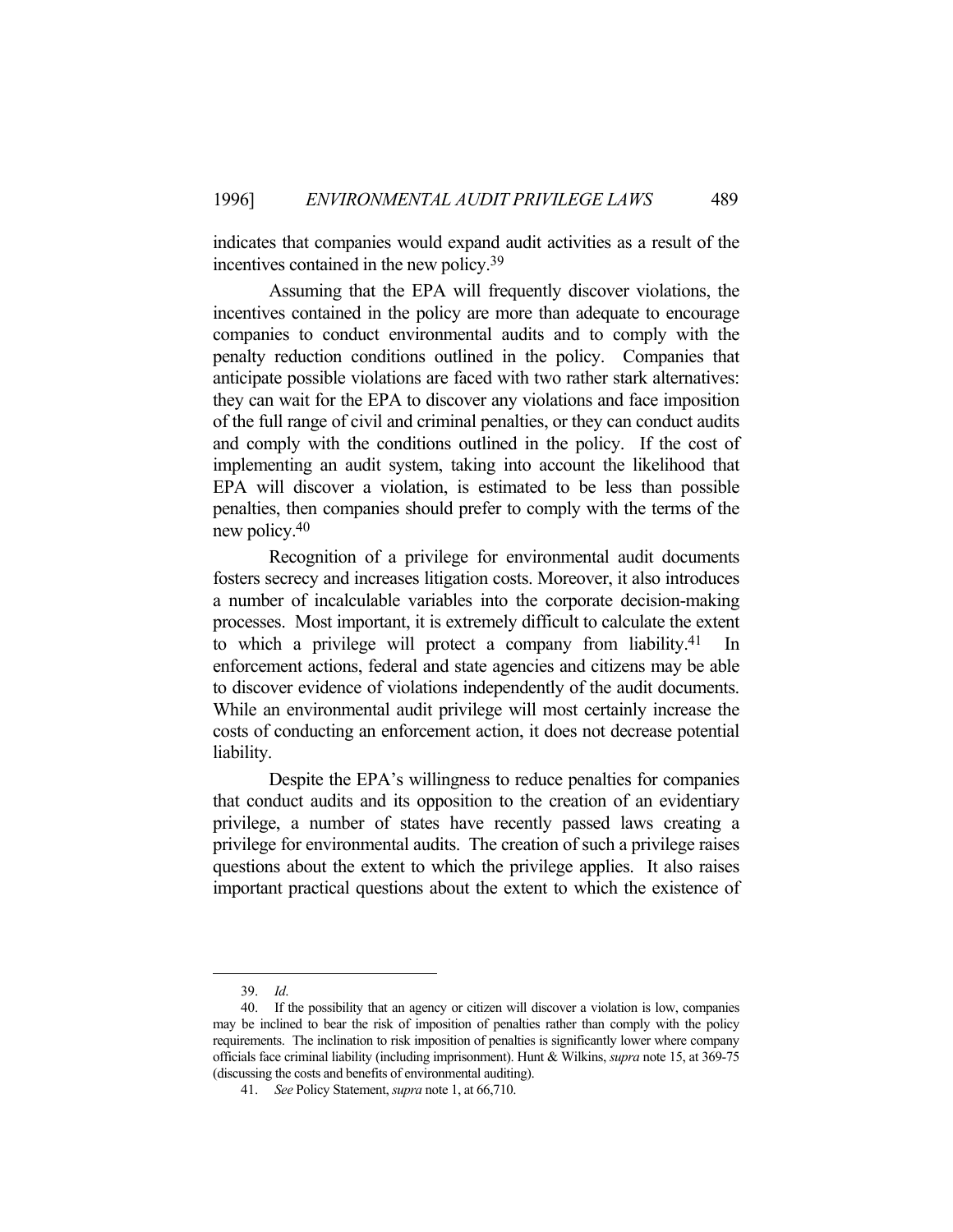indicates that companies would expand audit activities as a result of the incentives contained in the new policy.39

 Assuming that the EPA will frequently discover violations, the incentives contained in the policy are more than adequate to encourage companies to conduct environmental audits and to comply with the penalty reduction conditions outlined in the policy. Companies that anticipate possible violations are faced with two rather stark alternatives: they can wait for the EPA to discover any violations and face imposition of the full range of civil and criminal penalties, or they can conduct audits and comply with the conditions outlined in the policy. If the cost of implementing an audit system, taking into account the likelihood that EPA will discover a violation, is estimated to be less than possible penalties, then companies should prefer to comply with the terms of the new policy.40

 Recognition of a privilege for environmental audit documents fosters secrecy and increases litigation costs. Moreover, it also introduces a number of incalculable variables into the corporate decision-making processes. Most important, it is extremely difficult to calculate the extent to which a privilege will protect a company from liability.<sup>41</sup> enforcement actions, federal and state agencies and citizens may be able to discover evidence of violations independently of the audit documents. While an environmental audit privilege will most certainly increase the costs of conducting an enforcement action, it does not decrease potential liability.

 Despite the EPA's willingness to reduce penalties for companies that conduct audits and its opposition to the creation of an evidentiary privilege, a number of states have recently passed laws creating a privilege for environmental audits. The creation of such a privilege raises questions about the extent to which the privilege applies. It also raises important practical questions about the extent to which the existence of

 <sup>39.</sup> *Id*.

 <sup>40.</sup> If the possibility that an agency or citizen will discover a violation is low, companies may be inclined to bear the risk of imposition of penalties rather than comply with the policy requirements. The inclination to risk imposition of penalties is significantly lower where company officials face criminal liability (including imprisonment). Hunt & Wilkins, *supra* note 15, at 369-75 (discussing the costs and benefits of environmental auditing).

 <sup>41.</sup> *See* Policy Statement, *supra* note 1, at 66,710.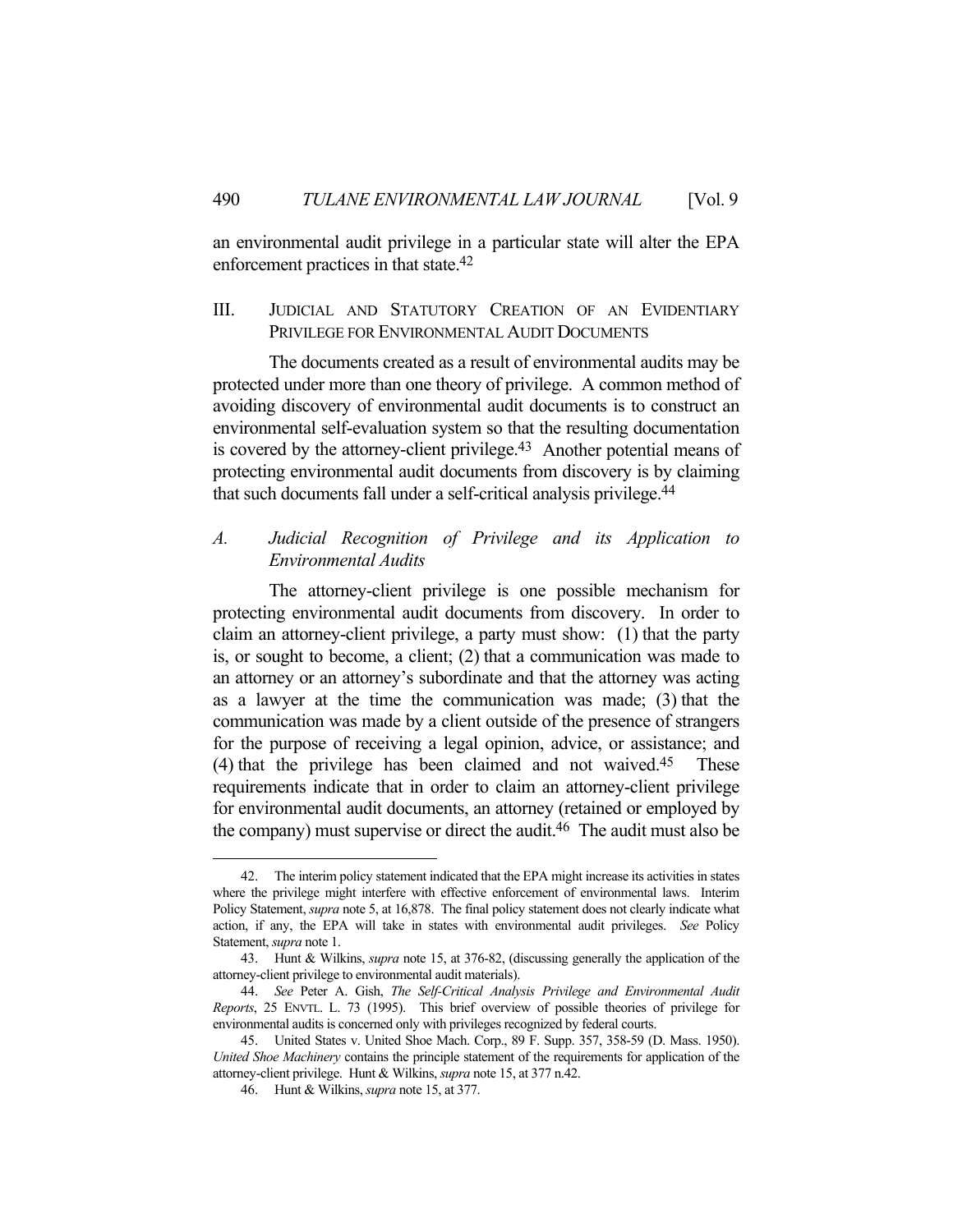an environmental audit privilege in a particular state will alter the EPA enforcement practices in that state.42

# III. JUDICIAL AND STATUTORY CREATION OF AN EVIDENTIARY PRIVILEGE FOR ENVIRONMENTAL AUDIT DOCUMENTS

 The documents created as a result of environmental audits may be protected under more than one theory of privilege. A common method of avoiding discovery of environmental audit documents is to construct an environmental self-evaluation system so that the resulting documentation is covered by the attorney-client privilege.43 Another potential means of protecting environmental audit documents from discovery is by claiming that such documents fall under a self-critical analysis privilege.44

# *A. Judicial Recognition of Privilege and its Application to Environmental Audits*

 The attorney-client privilege is one possible mechanism for protecting environmental audit documents from discovery. In order to claim an attorney-client privilege, a party must show: (1) that the party is, or sought to become, a client; (2) that a communication was made to an attorney or an attorney's subordinate and that the attorney was acting as a lawyer at the time the communication was made; (3) that the communication was made by a client outside of the presence of strangers for the purpose of receiving a legal opinion, advice, or assistance; and (4) that the privilege has been claimed and not waived.45 These requirements indicate that in order to claim an attorney-client privilege for environmental audit documents, an attorney (retained or employed by the company) must supervise or direct the audit.46 The audit must also be

 <sup>42.</sup> The interim policy statement indicated that the EPA might increase its activities in states where the privilege might interfere with effective enforcement of environmental laws. Interim Policy Statement, *supra* note 5, at 16,878. The final policy statement does not clearly indicate what action, if any, the EPA will take in states with environmental audit privileges. *See* Policy Statement, *supra* note 1.

 <sup>43.</sup> Hunt & Wilkins, *supra* note 15, at 376-82, (discussing generally the application of the attorney-client privilege to environmental audit materials).

 <sup>44.</sup> *See* Peter A. Gish, *The Self-Critical Analysis Privilege and Environmental Audit Reports*, 25 ENVTL. L. 73 (1995). This brief overview of possible theories of privilege for environmental audits is concerned only with privileges recognized by federal courts.

 <sup>45.</sup> United States v. United Shoe Mach. Corp., 89 F. Supp. 357, 358-59 (D. Mass. 1950). *United Shoe Machinery* contains the principle statement of the requirements for application of the attorney-client privilege. Hunt & Wilkins, *supra* note 15, at 377 n.42.

 <sup>46.</sup> Hunt & Wilkins, *supra* note 15, at 377.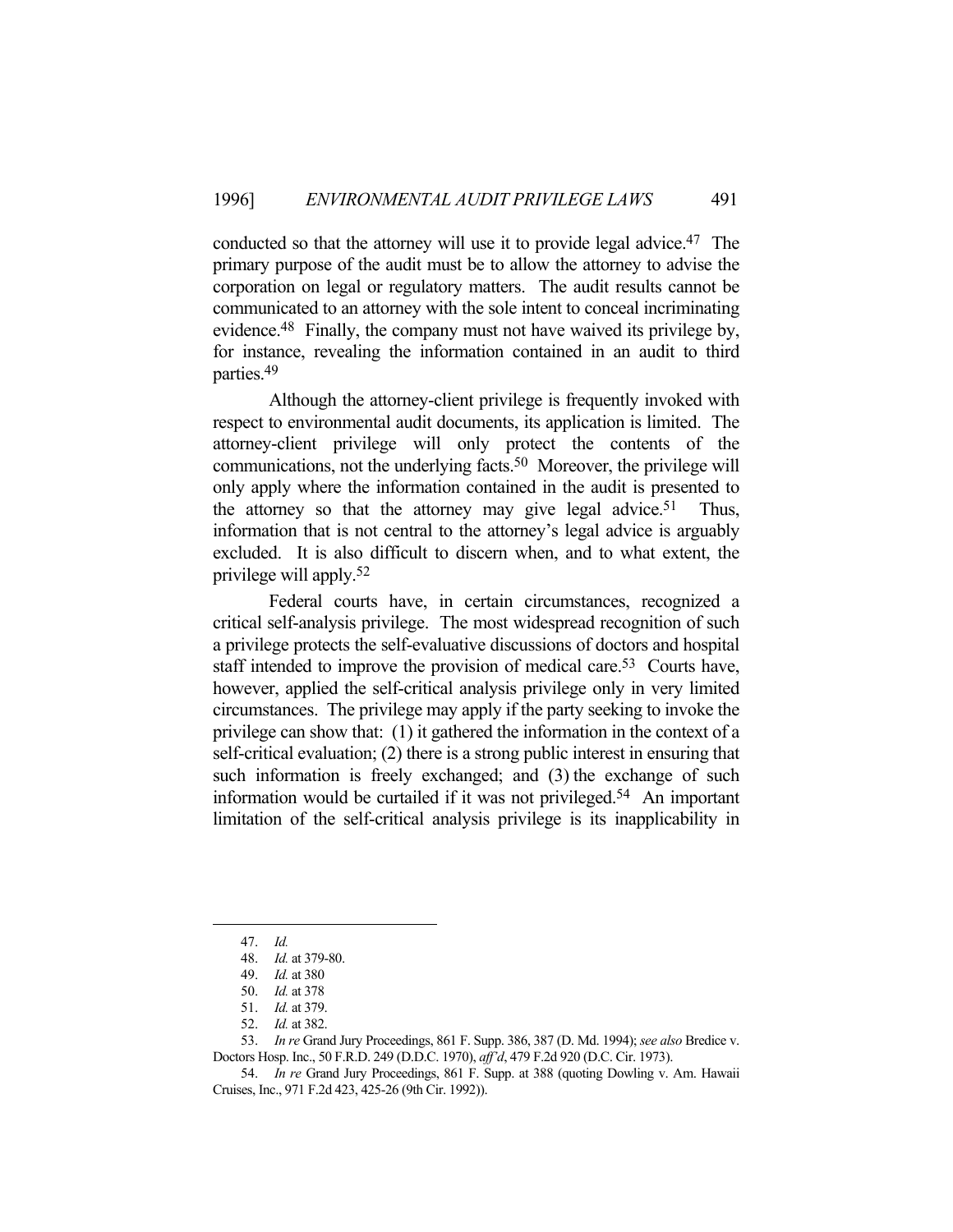conducted so that the attorney will use it to provide legal advice.47 The primary purpose of the audit must be to allow the attorney to advise the corporation on legal or regulatory matters. The audit results cannot be communicated to an attorney with the sole intent to conceal incriminating evidence.48 Finally, the company must not have waived its privilege by, for instance, revealing the information contained in an audit to third parties.49

 Although the attorney-client privilege is frequently invoked with respect to environmental audit documents, its application is limited. The attorney-client privilege will only protect the contents of the communications, not the underlying facts.<sup>50</sup> Moreover, the privilege will only apply where the information contained in the audit is presented to the attorney so that the attorney may give legal advice.<sup>51</sup> Thus, information that is not central to the attorney's legal advice is arguably excluded. It is also difficult to discern when, and to what extent, the privilege will apply.52

 Federal courts have, in certain circumstances, recognized a critical self-analysis privilege. The most widespread recognition of such a privilege protects the self-evaluative discussions of doctors and hospital staff intended to improve the provision of medical care.<sup>53</sup> Courts have, however, applied the self-critical analysis privilege only in very limited circumstances. The privilege may apply if the party seeking to invoke the privilege can show that: (1) it gathered the information in the context of a self-critical evaluation; (2) there is a strong public interest in ensuring that such information is freely exchanged; and (3) the exchange of such information would be curtailed if it was not privileged.54 An important limitation of the self-critical analysis privilege is its inapplicability in

 <sup>47.</sup> *Id.*

 <sup>48.</sup> *Id.* at 379-80.

 <sup>49.</sup> *Id.* at 380

 <sup>50.</sup> *Id.* at 378

 <sup>51.</sup> *Id.* at 379.

 <sup>52.</sup> *Id.* at 382.

 <sup>53.</sup> *In re* Grand Jury Proceedings, 861 F. Supp. 386, 387 (D. Md. 1994); *see also* Bredice v. Doctors Hosp. Inc., 50 F.R.D. 249 (D.D.C. 1970), *aff'd*, 479 F.2d 920 (D.C. Cir. 1973).

 <sup>54.</sup> *In re* Grand Jury Proceedings, 861 F. Supp. at 388 (quoting Dowling v. Am. Hawaii Cruises, Inc., 971 F.2d 423, 425-26 (9th Cir. 1992)).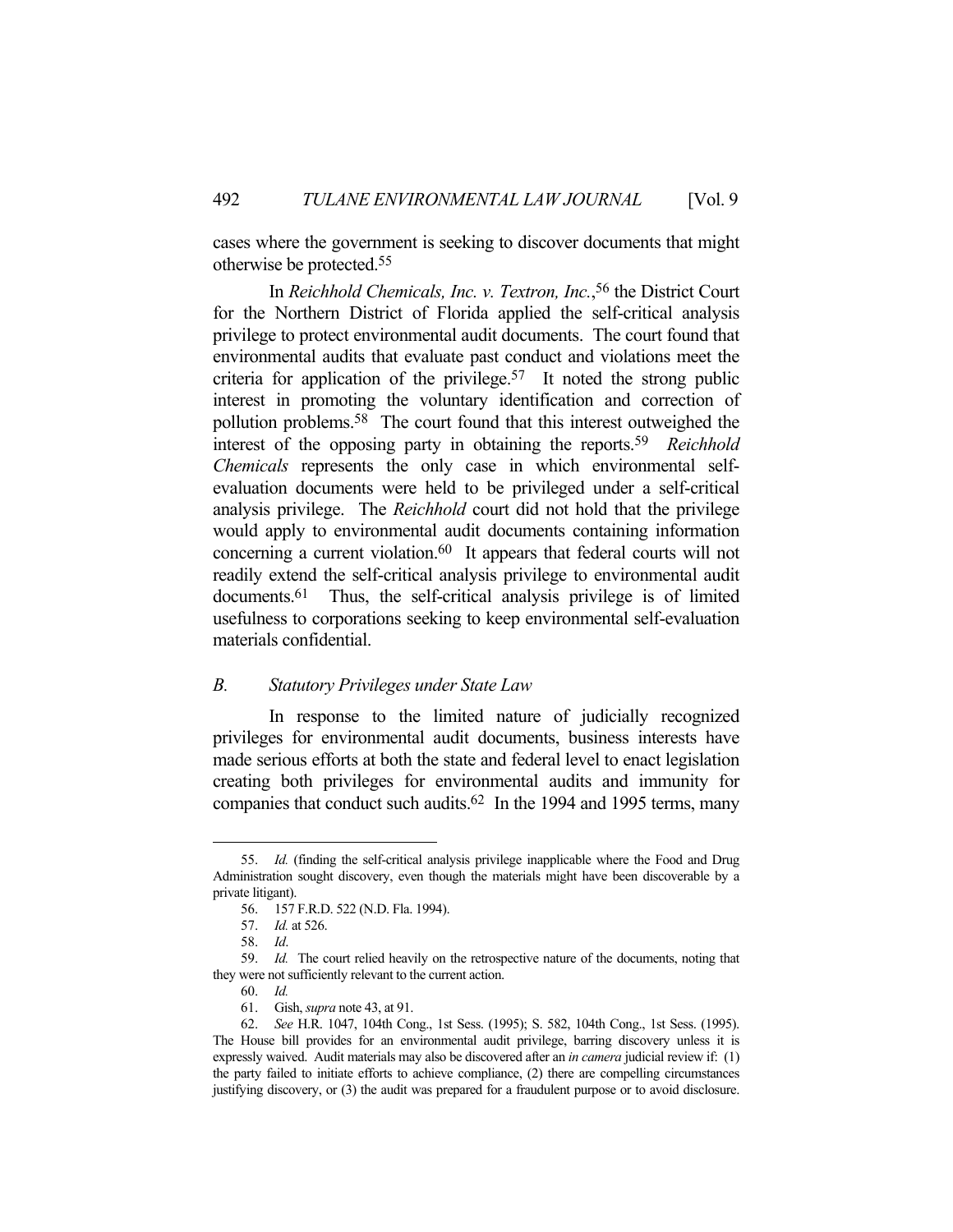cases where the government is seeking to discover documents that might otherwise be protected.55

 In *Reichhold Chemicals, Inc. v. Textron, Inc.*, 56 the District Court for the Northern District of Florida applied the self-critical analysis privilege to protect environmental audit documents. The court found that environmental audits that evaluate past conduct and violations meet the criteria for application of the privilege.<sup>57</sup> It noted the strong public interest in promoting the voluntary identification and correction of pollution problems.58 The court found that this interest outweighed the interest of the opposing party in obtaining the reports.59 *Reichhold Chemicals* represents the only case in which environmental selfevaluation documents were held to be privileged under a self-critical analysis privilege. The *Reichhold* court did not hold that the privilege would apply to environmental audit documents containing information concerning a current violation.60 It appears that federal courts will not readily extend the self-critical analysis privilege to environmental audit documents.61 Thus, the self-critical analysis privilege is of limited usefulness to corporations seeking to keep environmental self-evaluation materials confidential.

## *B. Statutory Privileges under State Law*

 In response to the limited nature of judicially recognized privileges for environmental audit documents, business interests have made serious efforts at both the state and federal level to enact legislation creating both privileges for environmental audits and immunity for companies that conduct such audits.<sup>62</sup> In the 1994 and 1995 terms, many

 <sup>55.</sup> *Id.* (finding the self-critical analysis privilege inapplicable where the Food and Drug Administration sought discovery, even though the materials might have been discoverable by a private litigant).

 <sup>56. 157</sup> F.R.D. 522 (N.D. Fla. 1994).

 <sup>57.</sup> *Id.* at 526.

 <sup>58.</sup> *Id*.

 <sup>59.</sup> *Id.* The court relied heavily on the retrospective nature of the documents, noting that they were not sufficiently relevant to the current action.

 <sup>60.</sup> *Id.*

 <sup>61.</sup> Gish, *supra* note 43, at 91.

 <sup>62.</sup> *See* H.R. 1047, 104th Cong., 1st Sess. (1995); S. 582, 104th Cong., 1st Sess. (1995). The House bill provides for an environmental audit privilege, barring discovery unless it is expressly waived. Audit materials may also be discovered after an *in camera* judicial review if: (1) the party failed to initiate efforts to achieve compliance, (2) there are compelling circumstances justifying discovery, or (3) the audit was prepared for a fraudulent purpose or to avoid disclosure.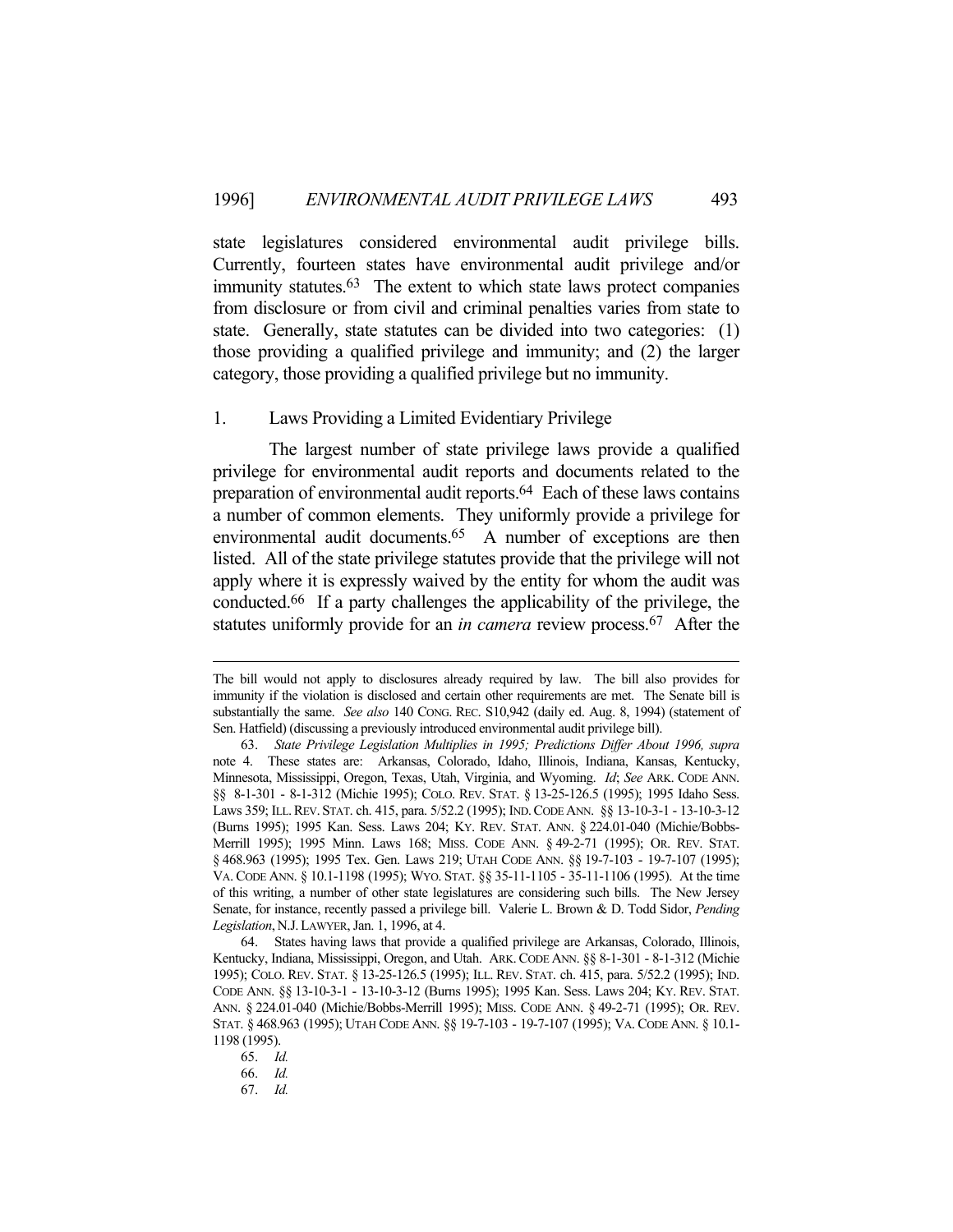state legislatures considered environmental audit privilege bills. Currently, fourteen states have environmental audit privilege and/or immunity statutes.<sup>63</sup> The extent to which state laws protect companies from disclosure or from civil and criminal penalties varies from state to state. Generally, state statutes can be divided into two categories: (1) those providing a qualified privilege and immunity; and (2) the larger category, those providing a qualified privilege but no immunity.

## 1. Laws Providing a Limited Evidentiary Privilege

 The largest number of state privilege laws provide a qualified privilege for environmental audit reports and documents related to the preparation of environmental audit reports.<sup>64</sup> Each of these laws contains a number of common elements. They uniformly provide a privilege for environmental audit documents.<sup>65</sup> A number of exceptions are then listed. All of the state privilege statutes provide that the privilege will not apply where it is expressly waived by the entity for whom the audit was conducted.66 If a party challenges the applicability of the privilege, the statutes uniformly provide for an *in camera* review process.<sup>67</sup> After the

The bill would not apply to disclosures already required by law. The bill also provides for immunity if the violation is disclosed and certain other requirements are met. The Senate bill is substantially the same. *See also* 140 CONG. REC. S10,942 (daily ed. Aug. 8, 1994) (statement of Sen. Hatfield) (discussing a previously introduced environmental audit privilege bill).

 <sup>63.</sup> *State Privilege Legislation Multiplies in 1995; Predictions Differ About 1996, supra* note 4. These states are: Arkansas, Colorado, Idaho, Illinois, Indiana, Kansas, Kentucky, Minnesota, Mississippi, Oregon, Texas, Utah, Virginia, and Wyoming. *Id*; *See* ARK. CODE ANN. §§ 8-1-301 - 8-1-312 (Michie 1995); COLO. REV. STAT. § 13-25-126.5 (1995); 1995 Idaho Sess. Laws 359; ILL.REV. STAT. ch. 415, para. 5/52.2 (1995); IND.CODE ANN. §§ 13-10-3-1 - 13-10-3-12 (Burns 1995); 1995 Kan. Sess. Laws 204; KY. REV. STAT. ANN. § 224.01-040 (Michie/Bobbs-Merrill 1995); 1995 Minn. Laws 168; MISS. CODE ANN. § 49-2-71 (1995); OR. REV. STAT. § 468.963 (1995); 1995 Tex. Gen. Laws 219; UTAH CODE ANN. §§ 19-7-103 - 19-7-107 (1995); VA. CODE ANN. § 10.1-1198 (1995); WYO. STAT. §§ 35-11-1105 - 35-11-1106 (1995). At the time of this writing, a number of other state legislatures are considering such bills. The New Jersey Senate, for instance, recently passed a privilege bill. Valerie L. Brown & D. Todd Sidor, *Pending Legislation*,N.J.LAWYER, Jan. 1, 1996, at 4.

 <sup>64.</sup> States having laws that provide a qualified privilege are Arkansas, Colorado, Illinois, Kentucky, Indiana, Mississippi, Oregon, and Utah. ARK. CODE ANN. §§ 8-1-301 - 8-1-312 (Michie 1995); COLO. REV. STAT. § 13-25-126.5 (1995); ILL. REV. STAT. ch. 415, para. 5/52.2 (1995); IND. CODE ANN. §§ 13-10-3-1 - 13-10-3-12 (Burns 1995); 1995 Kan. Sess. Laws 204; KY. REV. STAT. ANN. § 224.01-040 (Michie/Bobbs-Merrill 1995); MISS. CODE ANN. § 49-2-71 (1995); OR. REV. STAT. § 468.963 (1995); UTAH CODE ANN. §§ 19-7-103 - 19-7-107 (1995); VA. CODE ANN. § 10.1- 1198 (1995).

 <sup>65.</sup> *Id.*

 <sup>66.</sup> *Id.*

 <sup>67.</sup> *Id.*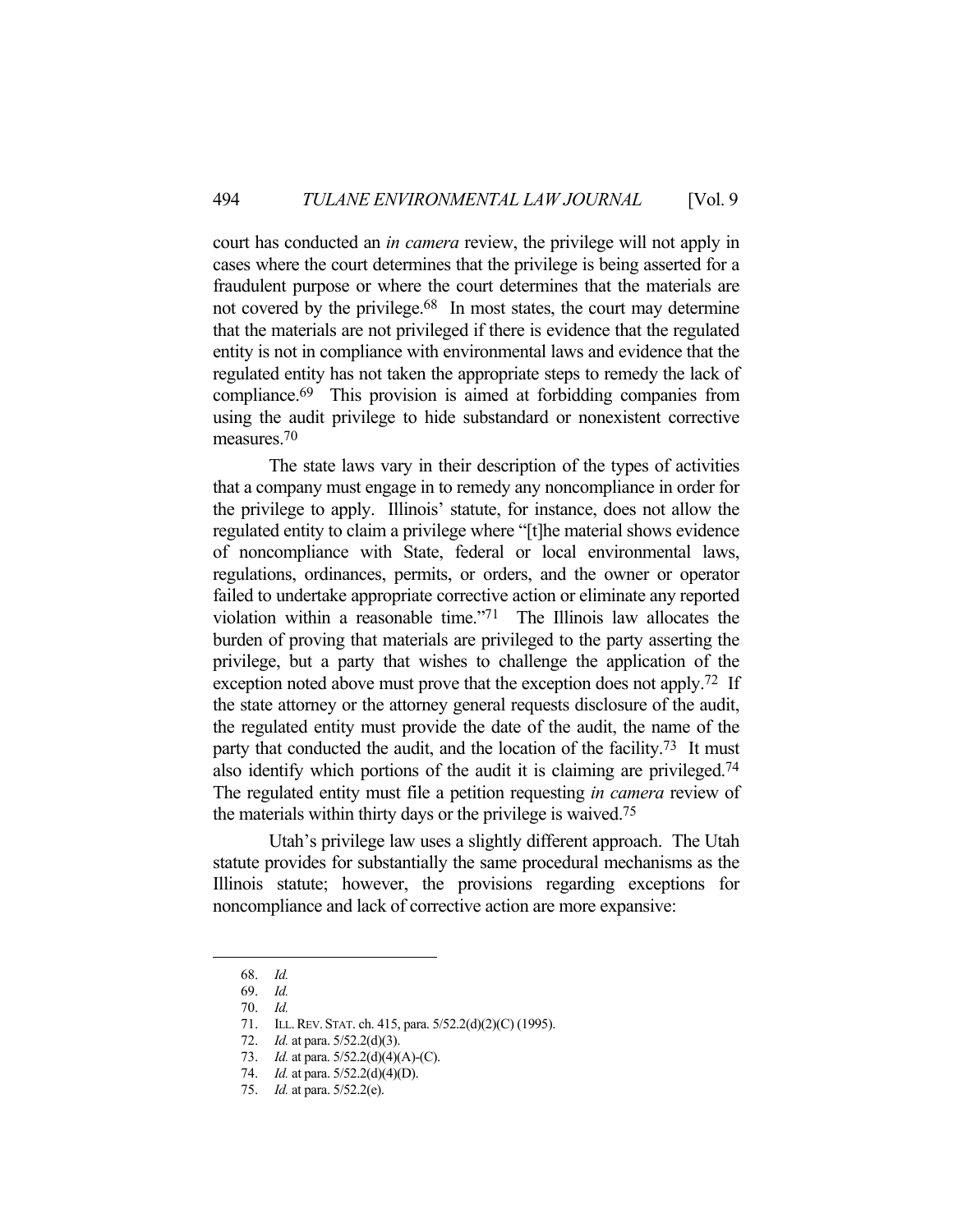court has conducted an *in camera* review, the privilege will not apply in cases where the court determines that the privilege is being asserted for a fraudulent purpose or where the court determines that the materials are not covered by the privilege.<sup>68</sup> In most states, the court may determine that the materials are not privileged if there is evidence that the regulated entity is not in compliance with environmental laws and evidence that the regulated entity has not taken the appropriate steps to remedy the lack of compliance.69 This provision is aimed at forbidding companies from using the audit privilege to hide substandard or nonexistent corrective measures.70

 The state laws vary in their description of the types of activities that a company must engage in to remedy any noncompliance in order for the privilege to apply. Illinois' statute, for instance, does not allow the regulated entity to claim a privilege where "[t]he material shows evidence of noncompliance with State, federal or local environmental laws, regulations, ordinances, permits, or orders, and the owner or operator failed to undertake appropriate corrective action or eliminate any reported violation within a reasonable time."71 The Illinois law allocates the burden of proving that materials are privileged to the party asserting the privilege, but a party that wishes to challenge the application of the exception noted above must prove that the exception does not apply.<sup>72</sup> If the state attorney or the attorney general requests disclosure of the audit, the regulated entity must provide the date of the audit, the name of the party that conducted the audit, and the location of the facility.<sup>73</sup> It must also identify which portions of the audit it is claiming are privileged.74 The regulated entity must file a petition requesting *in camera* review of the materials within thirty days or the privilege is waived.75

 Utah's privilege law uses a slightly different approach. The Utah statute provides for substantially the same procedural mechanisms as the Illinois statute; however, the provisions regarding exceptions for noncompliance and lack of corrective action are more expansive:

 <sup>68.</sup> *Id.*

 <sup>69.</sup> *Id.*

 <sup>70.</sup> *Id.*

 <sup>71.</sup> ILL.REV. STAT. ch. 415, para. 5/52.2(d)(2)(C) (1995).

 <sup>72.</sup> *Id.* at para. 5/52.2(d)(3).

 <sup>73.</sup> *Id.* at para. 5/52.2(d)(4)(A)-(C).

 <sup>74.</sup> *Id.* at para. 5/52.2(d)(4)(D).

 <sup>75.</sup> *Id.* at para. 5/52.2(e).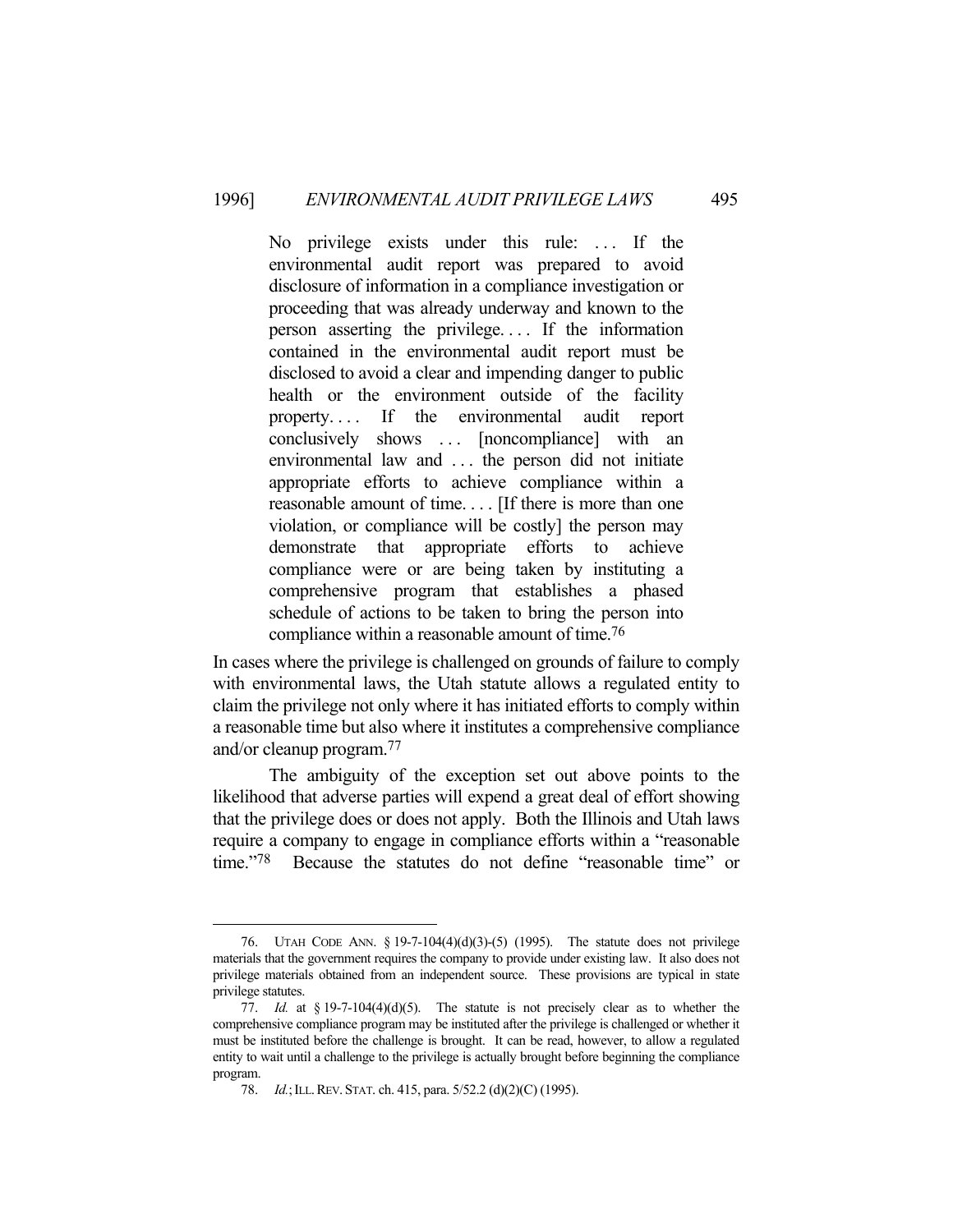No privilege exists under this rule: ... If the environmental audit report was prepared to avoid disclosure of information in a compliance investigation or proceeding that was already underway and known to the person asserting the privilege. . . . If the information contained in the environmental audit report must be disclosed to avoid a clear and impending danger to public health or the environment outside of the facility property. . . . If the environmental audit report conclusively shows ... [noncompliance] with an environmental law and . . . the person did not initiate appropriate efforts to achieve compliance within a reasonable amount of time. . . . [If there is more than one violation, or compliance will be costly] the person may demonstrate that appropriate efforts to achieve compliance were or are being taken by instituting a comprehensive program that establishes a phased schedule of actions to be taken to bring the person into compliance within a reasonable amount of time.76

In cases where the privilege is challenged on grounds of failure to comply with environmental laws, the Utah statute allows a regulated entity to claim the privilege not only where it has initiated efforts to comply within a reasonable time but also where it institutes a comprehensive compliance and/or cleanup program.77

 The ambiguity of the exception set out above points to the likelihood that adverse parties will expend a great deal of effort showing that the privilege does or does not apply. Both the Illinois and Utah laws require a company to engage in compliance efforts within a "reasonable time."78 Because the statutes do not define "reasonable time" or

 <sup>76.</sup> UTAH CODE ANN. § 19-7-104(4)(d)(3)-(5) (1995). The statute does not privilege materials that the government requires the company to provide under existing law. It also does not privilege materials obtained from an independent source. These provisions are typical in state privilege statutes.

 <sup>77.</sup> *Id.* at § 19-7-104(4)(d)(5). The statute is not precisely clear as to whether the comprehensive compliance program may be instituted after the privilege is challenged or whether it must be instituted before the challenge is brought. It can be read, however, to allow a regulated entity to wait until a challenge to the privilege is actually brought before beginning the compliance program.

 <sup>78.</sup> *Id.*;ILL.REV. STAT. ch. 415, para. 5/52.2 (d)(2)(C) (1995).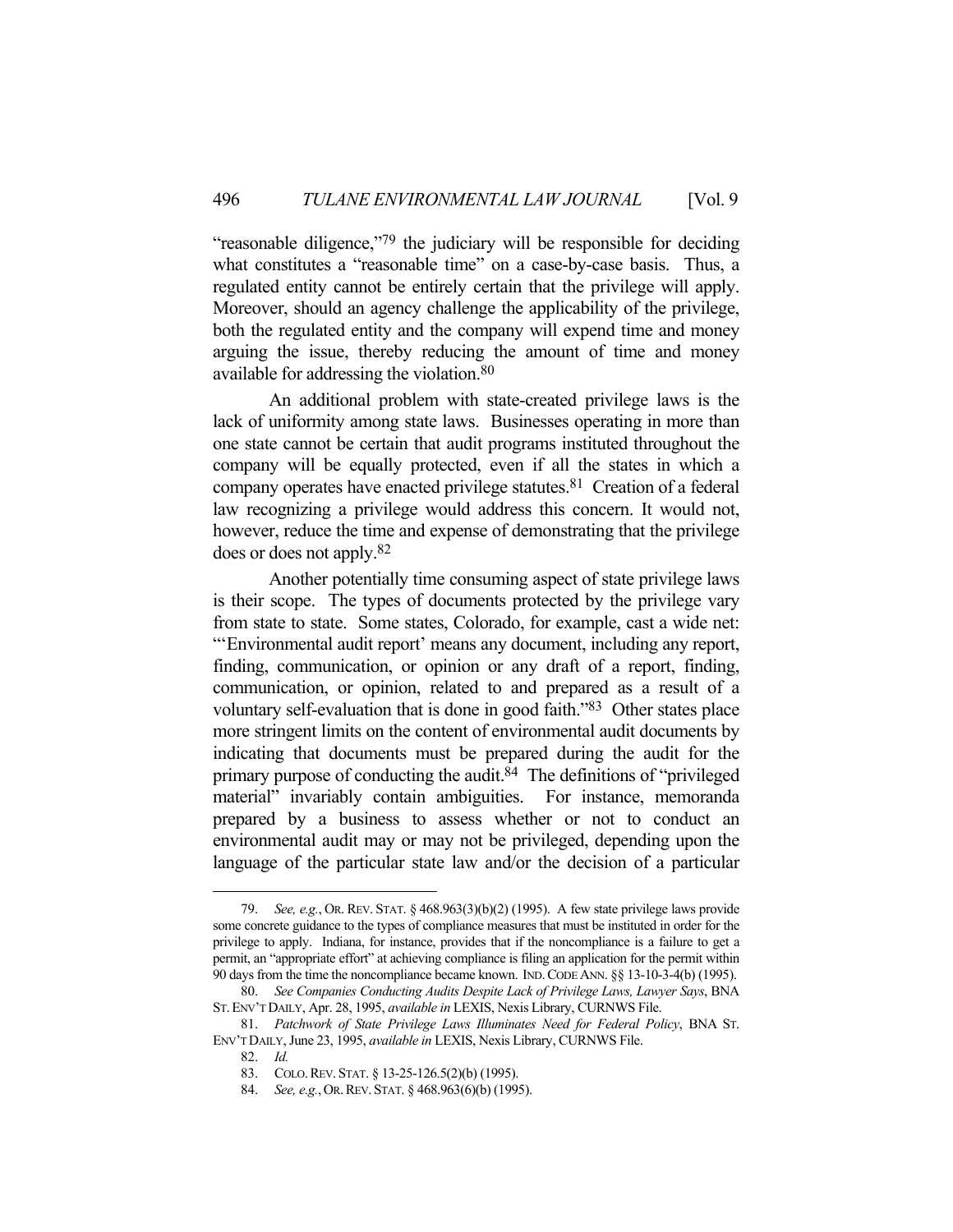"reasonable diligence,"79 the judiciary will be responsible for deciding what constitutes a "reasonable time" on a case-by-case basis. Thus, a regulated entity cannot be entirely certain that the privilege will apply. Moreover, should an agency challenge the applicability of the privilege, both the regulated entity and the company will expend time and money arguing the issue, thereby reducing the amount of time and money available for addressing the violation.80

 An additional problem with state-created privilege laws is the lack of uniformity among state laws. Businesses operating in more than one state cannot be certain that audit programs instituted throughout the company will be equally protected, even if all the states in which a company operates have enacted privilege statutes.81 Creation of a federal law recognizing a privilege would address this concern. It would not, however, reduce the time and expense of demonstrating that the privilege does or does not apply.82

 Another potentially time consuming aspect of state privilege laws is their scope. The types of documents protected by the privilege vary from state to state. Some states, Colorado, for example, cast a wide net: "'Environmental audit report' means any document, including any report, finding, communication, or opinion or any draft of a report, finding, communication, or opinion, related to and prepared as a result of a voluntary self-evaluation that is done in good faith."83 Other states place more stringent limits on the content of environmental audit documents by indicating that documents must be prepared during the audit for the primary purpose of conducting the audit.84 The definitions of "privileged material" invariably contain ambiguities. For instance, memoranda prepared by a business to assess whether or not to conduct an environmental audit may or may not be privileged, depending upon the language of the particular state law and/or the decision of a particular

 <sup>79.</sup> *See, e.g.*, OR. REV. STAT. § 468.963(3)(b)(2) (1995). A few state privilege laws provide some concrete guidance to the types of compliance measures that must be instituted in order for the privilege to apply. Indiana, for instance, provides that if the noncompliance is a failure to get a permit, an "appropriate effort" at achieving compliance is filing an application for the permit within 90 days from the time the noncompliance became known. IND.CODE ANN. §§ 13-10-3-4(b) (1995).

 <sup>80.</sup> *See Companies Conducting Audits Despite Lack of Privilege Laws, Lawyer Says*, BNA ST.ENV'T DAILY, Apr. 28, 1995, *available in* LEXIS, Nexis Library, CURNWS File.

 <sup>81.</sup> *Patchwork of State Privilege Laws Illuminates Need for Federal Policy*, BNA ST. ENV'T DAILY, June 23, 1995, *available in* LEXIS, Nexis Library, CURNWS File.

 <sup>82.</sup> *Id.*

 <sup>83.</sup> COLO.REV. STAT. § 13-25-126.5(2)(b) (1995).

 <sup>84.</sup> *See, e.g.*,OR.REV. STAT. § 468.963(6)(b) (1995).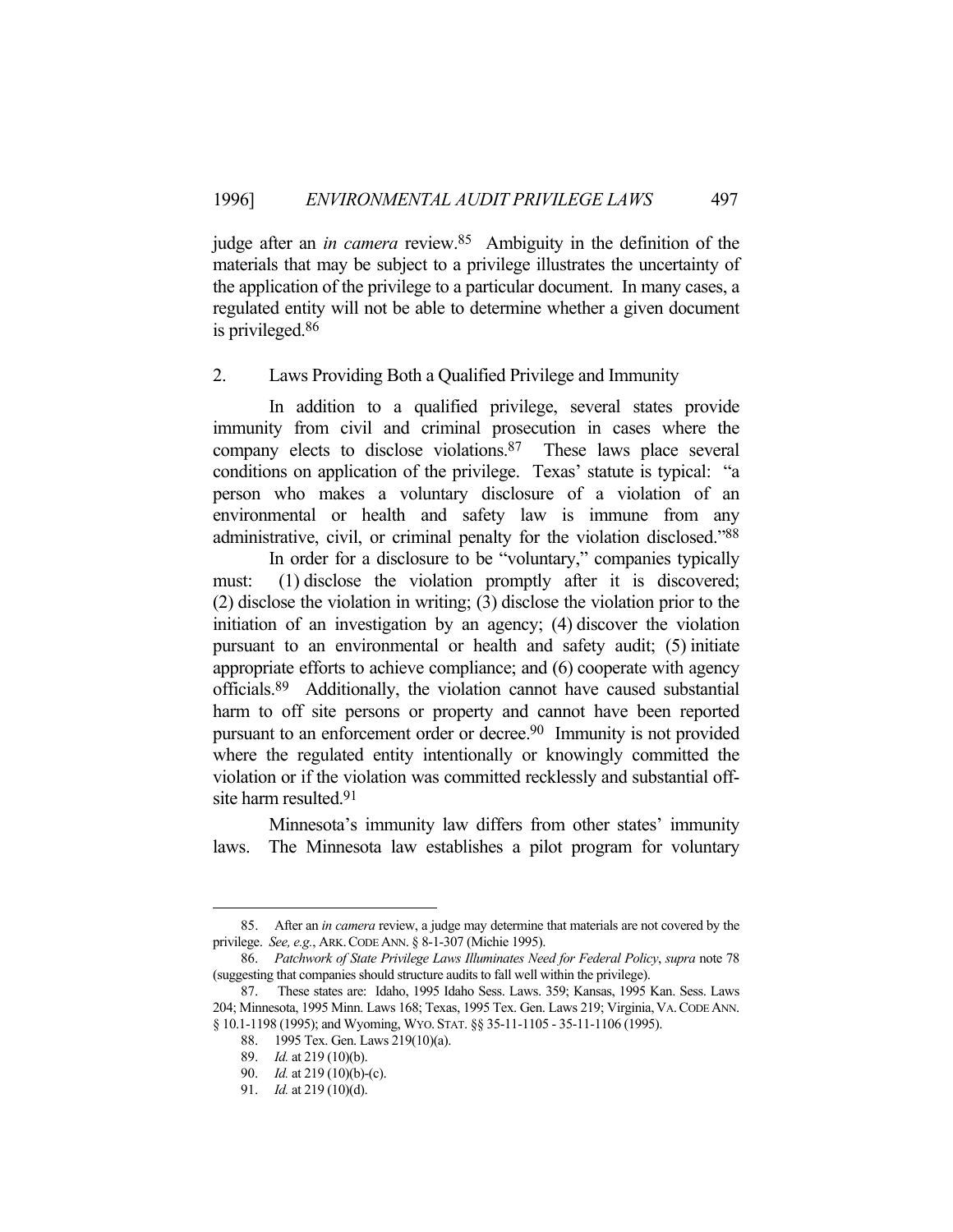judge after an *in camera* review.85 Ambiguity in the definition of the materials that may be subject to a privilege illustrates the uncertainty of the application of the privilege to a particular document. In many cases, a regulated entity will not be able to determine whether a given document is privileged.86

#### 2. Laws Providing Both a Qualified Privilege and Immunity

 In addition to a qualified privilege, several states provide immunity from civil and criminal prosecution in cases where the company elects to disclose violations.87 These laws place several conditions on application of the privilege. Texas' statute is typical: "a person who makes a voluntary disclosure of a violation of an environmental or health and safety law is immune from any administrative, civil, or criminal penalty for the violation disclosed."88

 In order for a disclosure to be "voluntary," companies typically must: (1) disclose the violation promptly after it is discovered; (2) disclose the violation in writing; (3) disclose the violation prior to the initiation of an investigation by an agency; (4) discover the violation pursuant to an environmental or health and safety audit; (5) initiate appropriate efforts to achieve compliance; and (6) cooperate with agency officials.89 Additionally, the violation cannot have caused substantial harm to off site persons or property and cannot have been reported pursuant to an enforcement order or decree.<sup>90</sup> Immunity is not provided where the regulated entity intentionally or knowingly committed the violation or if the violation was committed recklessly and substantial offsite harm resulted.91

 Minnesota's immunity law differs from other states' immunity laws. The Minnesota law establishes a pilot program for voluntary

 <sup>85.</sup> After an *in camera* review, a judge may determine that materials are not covered by the privilege. *See, e.g.*, ARK.CODE ANN. § 8-1-307 (Michie 1995).

 <sup>86.</sup> *Patchwork of State Privilege Laws Illuminates Need for Federal Policy*, *supra* note 78 (suggesting that companies should structure audits to fall well within the privilege).

 <sup>87.</sup> These states are: Idaho, 1995 Idaho Sess. Laws. 359; Kansas, 1995 Kan. Sess. Laws 204; Minnesota, 1995 Minn. Laws 168; Texas, 1995 Tex. Gen. Laws 219; Virginia, VA. CODE ANN. § 10.1-1198 (1995); and Wyoming, WYO. STAT. §§ 35-11-1105 - 35-11-1106 (1995).

 <sup>88. 1995</sup> Tex. Gen. Laws 219(10)(a).

 <sup>89.</sup> *Id.* at 219 (10)(b).

 <sup>90.</sup> *Id.* at 219 (10)(b)-(c).

 <sup>91.</sup> *Id.* at 219 (10)(d).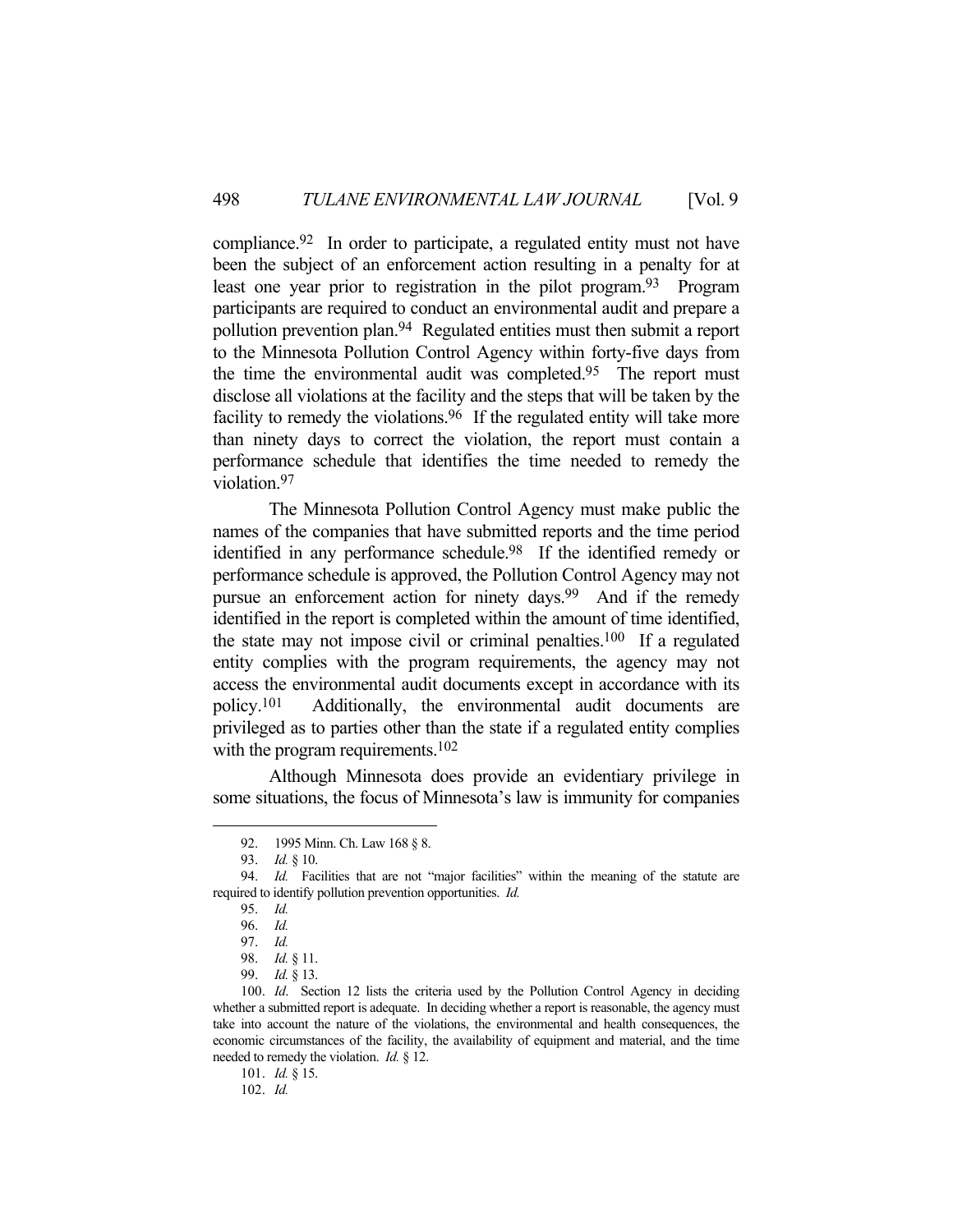compliance.92 In order to participate, a regulated entity must not have been the subject of an enforcement action resulting in a penalty for at least one year prior to registration in the pilot program.<sup>93</sup> Program participants are required to conduct an environmental audit and prepare a pollution prevention plan.94 Regulated entities must then submit a report to the Minnesota Pollution Control Agency within forty-five days from the time the environmental audit was completed.95 The report must disclose all violations at the facility and the steps that will be taken by the facility to remedy the violations.<sup>96</sup> If the regulated entity will take more than ninety days to correct the violation, the report must contain a performance schedule that identifies the time needed to remedy the violation.97

 The Minnesota Pollution Control Agency must make public the names of the companies that have submitted reports and the time period identified in any performance schedule.<sup>98</sup> If the identified remedy or performance schedule is approved, the Pollution Control Agency may not pursue an enforcement action for ninety days.<sup>99</sup> And if the remedy identified in the report is completed within the amount of time identified, the state may not impose civil or criminal penalties.100 If a regulated entity complies with the program requirements, the agency may not access the environmental audit documents except in accordance with its policy.101 Additionally, the environmental audit documents are privileged as to parties other than the state if a regulated entity complies with the program requirements.<sup>102</sup>

 Although Minnesota does provide an evidentiary privilege in some situations, the focus of Minnesota's law is immunity for companies

 <sup>92. 1995</sup> Minn. Ch. Law 168 § 8.

 <sup>93.</sup> *Id.* § 10.

 <sup>94.</sup> *Id.* Facilities that are not "major facilities" within the meaning of the statute are required to identify pollution prevention opportunities. *Id.*

 <sup>95.</sup> *Id.*

 <sup>96.</sup> *Id.*

 <sup>97.</sup> *Id.*

 <sup>98.</sup> *Id.* § 11.

 <sup>99.</sup> *Id.* § 13.

 <sup>100.</sup> *Id*. Section 12 lists the criteria used by the Pollution Control Agency in deciding whether a submitted report is adequate. In deciding whether a report is reasonable, the agency must take into account the nature of the violations, the environmental and health consequences, the economic circumstances of the facility, the availability of equipment and material, and the time needed to remedy the violation. *Id.* § 12.

 <sup>101.</sup> *Id.* § 15.

 <sup>102.</sup> *Id.*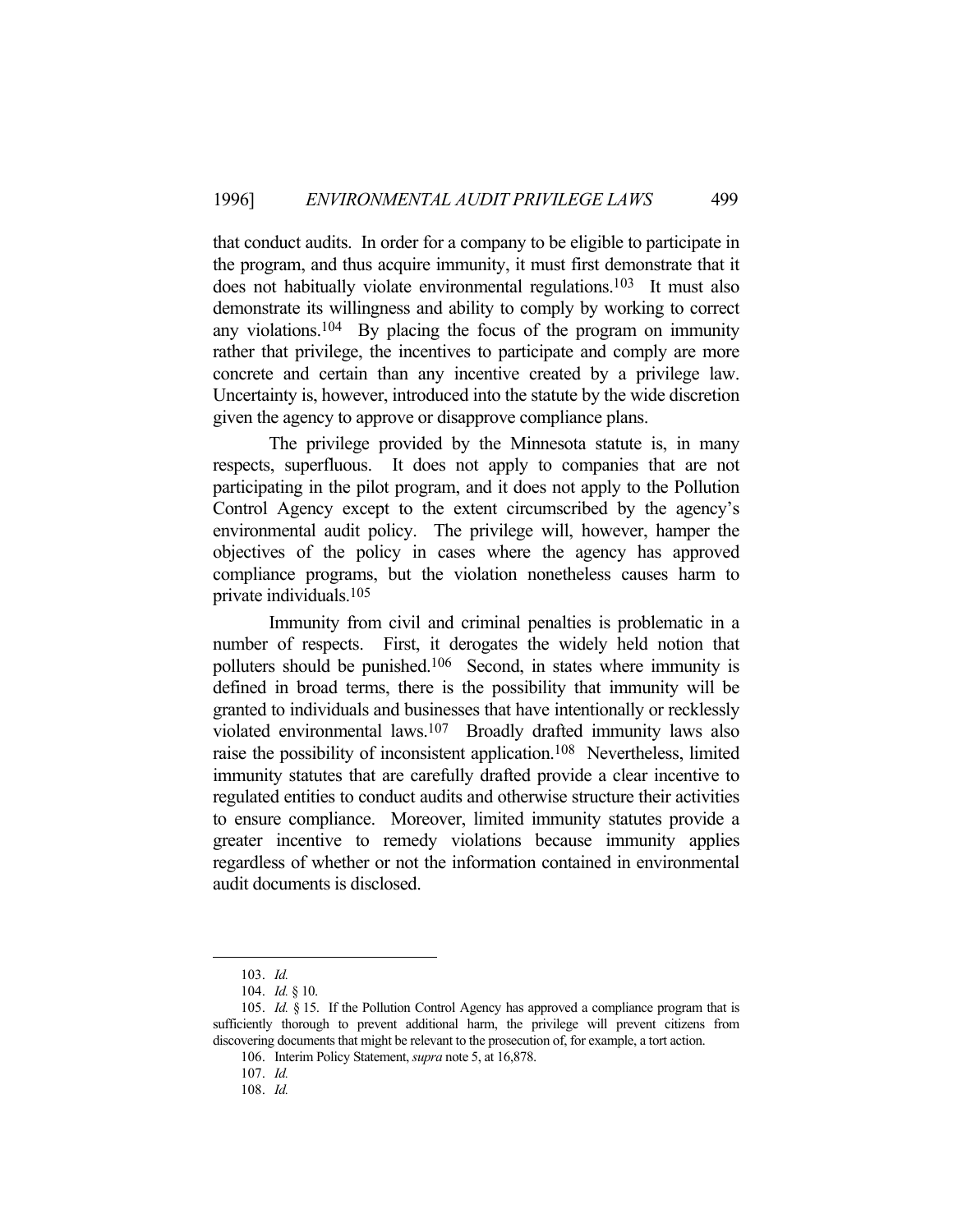that conduct audits. In order for a company to be eligible to participate in the program, and thus acquire immunity, it must first demonstrate that it does not habitually violate environmental regulations.<sup>103</sup> It must also demonstrate its willingness and ability to comply by working to correct any violations.<sup>104</sup> By placing the focus of the program on immunity rather that privilege, the incentives to participate and comply are more concrete and certain than any incentive created by a privilege law. Uncertainty is, however, introduced into the statute by the wide discretion given the agency to approve or disapprove compliance plans.

 The privilege provided by the Minnesota statute is, in many respects, superfluous. It does not apply to companies that are not participating in the pilot program, and it does not apply to the Pollution Control Agency except to the extent circumscribed by the agency's environmental audit policy. The privilege will, however, hamper the objectives of the policy in cases where the agency has approved compliance programs, but the violation nonetheless causes harm to private individuals.105

 Immunity from civil and criminal penalties is problematic in a number of respects. First, it derogates the widely held notion that polluters should be punished.106 Second, in states where immunity is defined in broad terms, there is the possibility that immunity will be granted to individuals and businesses that have intentionally or recklessly violated environmental laws.107 Broadly drafted immunity laws also raise the possibility of inconsistent application.108 Nevertheless, limited immunity statutes that are carefully drafted provide a clear incentive to regulated entities to conduct audits and otherwise structure their activities to ensure compliance. Moreover, limited immunity statutes provide a greater incentive to remedy violations because immunity applies regardless of whether or not the information contained in environmental audit documents is disclosed.

 <sup>103.</sup> *Id.*

 <sup>104.</sup> *Id.* § 10.

 <sup>105.</sup> *Id.* § 15. If the Pollution Control Agency has approved a compliance program that is sufficiently thorough to prevent additional harm, the privilege will prevent citizens from discovering documents that might be relevant to the prosecution of, for example, a tort action.

 <sup>106.</sup> Interim Policy Statement, *supra* note 5, at 16,878.

 <sup>107.</sup> *Id.*

 <sup>108.</sup> *Id.*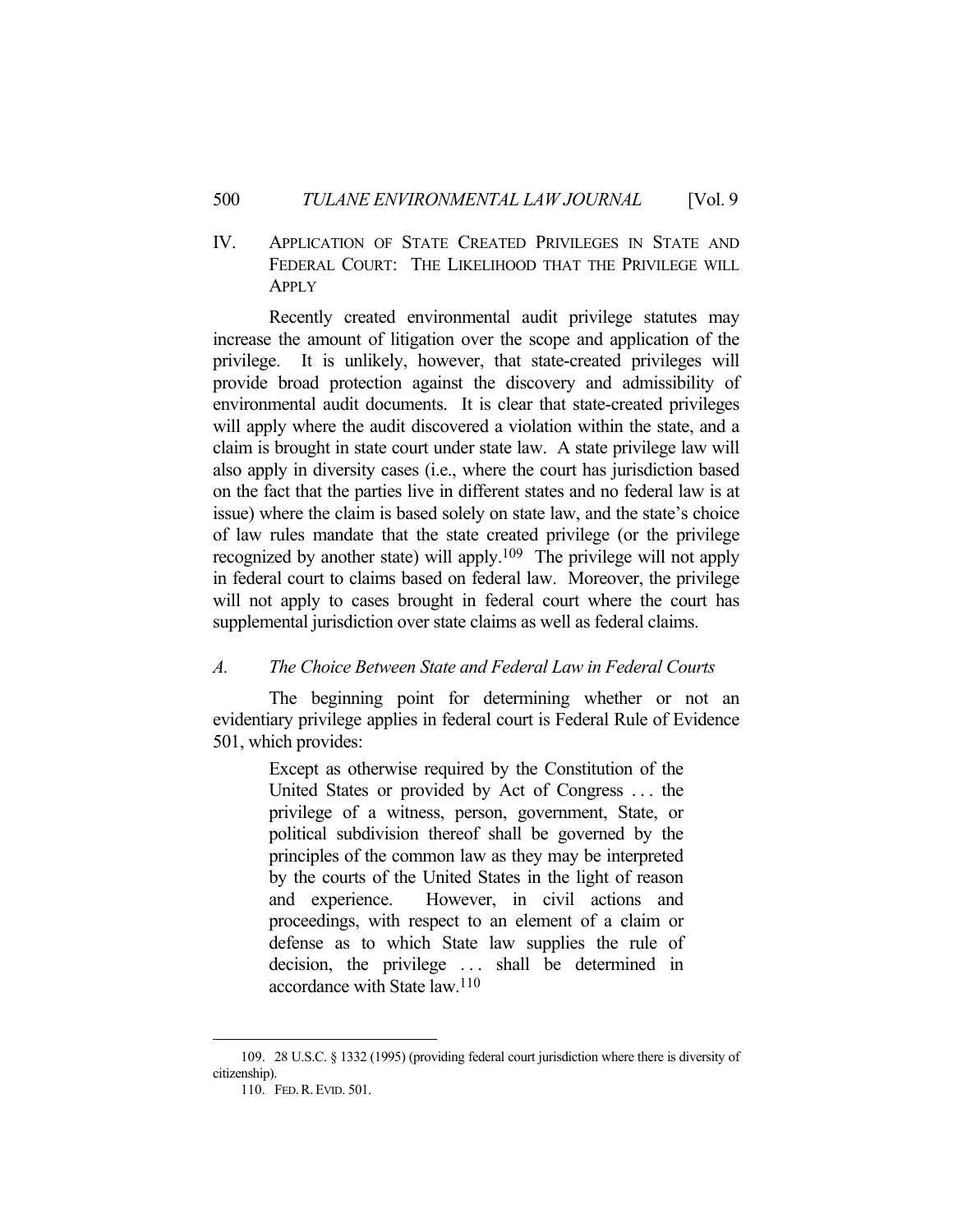IV. APPLICATION OF STATE CREATED PRIVILEGES IN STATE AND FEDERAL COURT: THE LIKELIHOOD THAT THE PRIVILEGE WILL APPLY

 Recently created environmental audit privilege statutes may increase the amount of litigation over the scope and application of the privilege. It is unlikely, however, that state-created privileges will provide broad protection against the discovery and admissibility of environmental audit documents. It is clear that state-created privileges will apply where the audit discovered a violation within the state, and a claim is brought in state court under state law. A state privilege law will also apply in diversity cases (i.e., where the court has jurisdiction based on the fact that the parties live in different states and no federal law is at issue) where the claim is based solely on state law, and the state's choice of law rules mandate that the state created privilege (or the privilege recognized by another state) will apply.109 The privilege will not apply in federal court to claims based on federal law. Moreover, the privilege will not apply to cases brought in federal court where the court has supplemental jurisdiction over state claims as well as federal claims.

## *A. The Choice Between State and Federal Law in Federal Courts*

 The beginning point for determining whether or not an evidentiary privilege applies in federal court is Federal Rule of Evidence 501, which provides:

> Except as otherwise required by the Constitution of the United States or provided by Act of Congress . . . the privilege of a witness, person, government, State, or political subdivision thereof shall be governed by the principles of the common law as they may be interpreted by the courts of the United States in the light of reason and experience. However, in civil actions and proceedings, with respect to an element of a claim or defense as to which State law supplies the rule of decision, the privilege ... shall be determined in accordance with State law.110

 <sup>109. 28</sup> U.S.C. § 1332 (1995) (providing federal court jurisdiction where there is diversity of citizenship).

 <sup>110.</sup> FED.R.EVID. 501.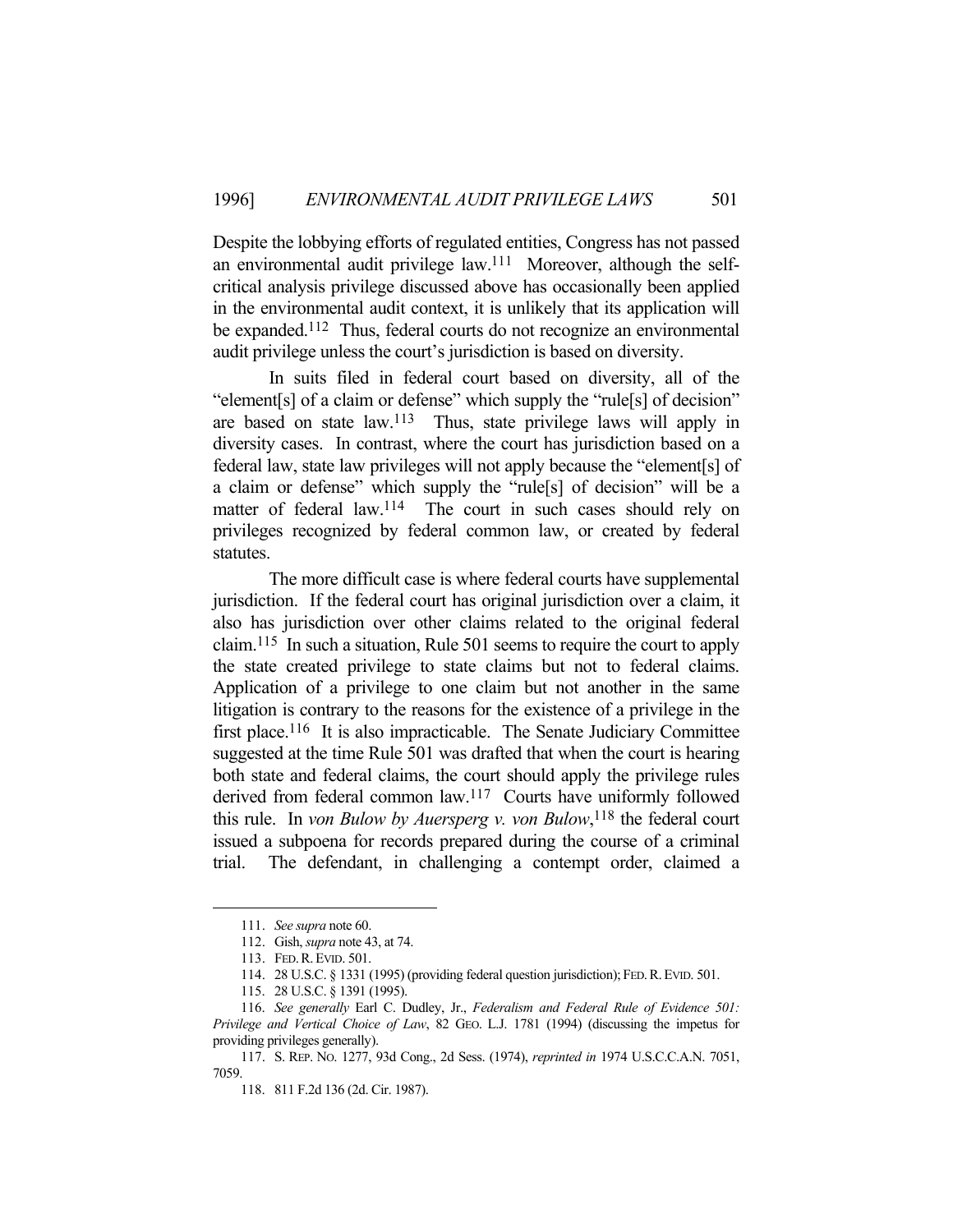Despite the lobbying efforts of regulated entities, Congress has not passed an environmental audit privilege law.111 Moreover, although the selfcritical analysis privilege discussed above has occasionally been applied in the environmental audit context, it is unlikely that its application will be expanded.<sup>112</sup> Thus, federal courts do not recognize an environmental audit privilege unless the court's jurisdiction is based on diversity.

 In suits filed in federal court based on diversity, all of the "element[s] of a claim or defense" which supply the "rule[s] of decision" are based on state law.113 Thus, state privilege laws will apply in diversity cases. In contrast, where the court has jurisdiction based on a federal law, state law privileges will not apply because the "element[s] of a claim or defense" which supply the "rule[s] of decision" will be a matter of federal law.<sup>114</sup> The court in such cases should rely on privileges recognized by federal common law, or created by federal statutes.

 The more difficult case is where federal courts have supplemental jurisdiction. If the federal court has original jurisdiction over a claim, it also has jurisdiction over other claims related to the original federal claim.115 In such a situation, Rule 501 seems to require the court to apply the state created privilege to state claims but not to federal claims. Application of a privilege to one claim but not another in the same litigation is contrary to the reasons for the existence of a privilege in the first place.<sup>116</sup> It is also impracticable. The Senate Judiciary Committee suggested at the time Rule 501 was drafted that when the court is hearing both state and federal claims, the court should apply the privilege rules derived from federal common law.117 Courts have uniformly followed this rule. In *von Bulow by Auersperg v. von Bulow*, 118 the federal court issued a subpoena for records prepared during the course of a criminal trial. The defendant, in challenging a contempt order, claimed a

 <sup>111.</sup> *See supra* note 60.

 <sup>112.</sup> Gish, *supra* note 43, at 74.

 <sup>113.</sup> FED.R.EVID. 501.

 <sup>114. 28</sup> U.S.C. § 1331 (1995) (providing federal question jurisdiction); FED.R.EVID. 501.

 <sup>115. 28</sup> U.S.C. § 1391 (1995).

 <sup>116.</sup> *See generally* Earl C. Dudley, Jr., *Federalism and Federal Rule of Evidence 501: Privilege and Vertical Choice of Law*, 82 GEO. L.J. 1781 (1994) (discussing the impetus for providing privileges generally).

 <sup>117.</sup> S. REP. NO. 1277, 93d Cong., 2d Sess. (1974), *reprinted in* 1974 U.S.C.C.A.N. 7051, 7059.

 <sup>118. 811</sup> F.2d 136 (2d. Cir. 1987).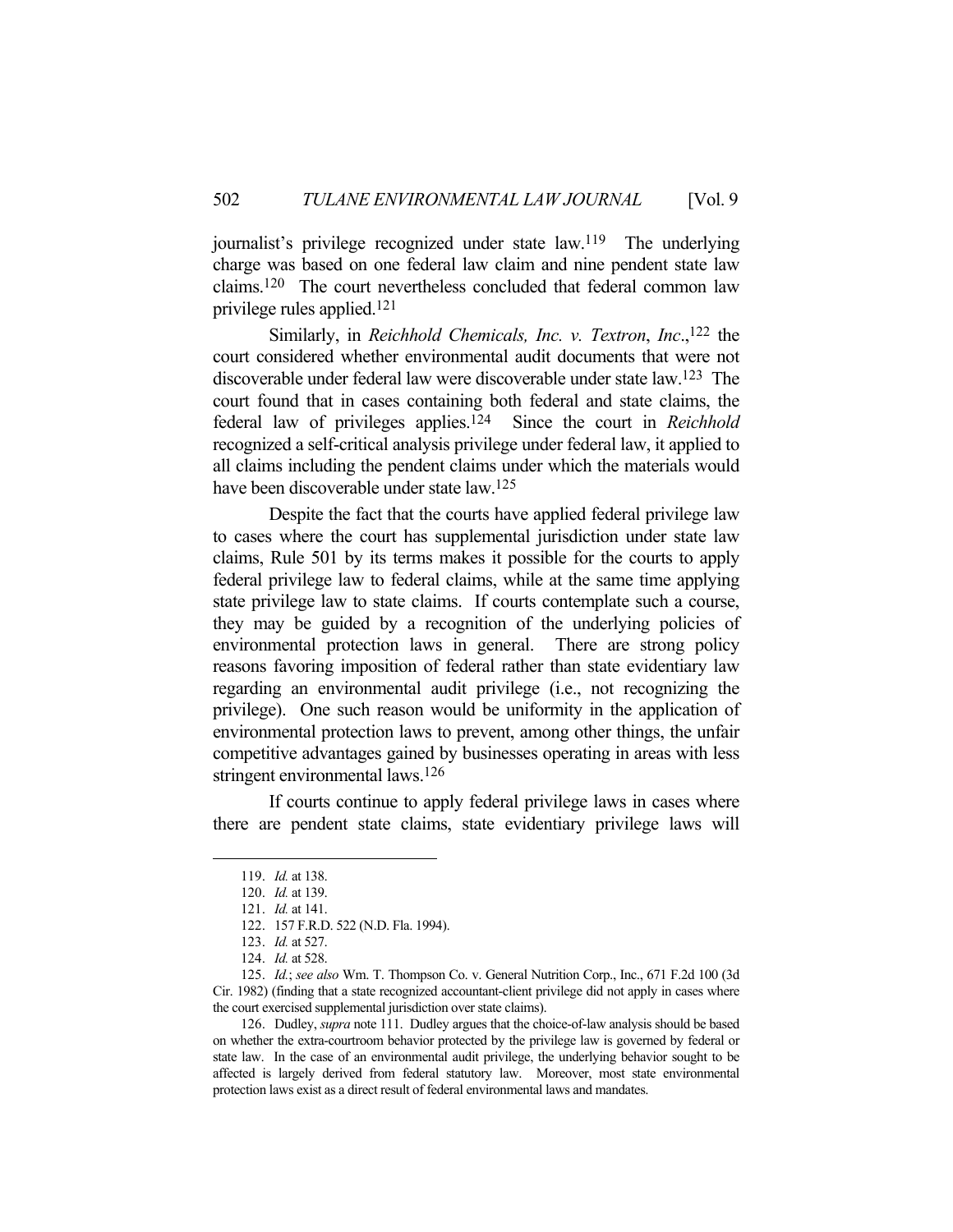journalist's privilege recognized under state law.119 The underlying charge was based on one federal law claim and nine pendent state law claims.120 The court nevertheless concluded that federal common law privilege rules applied.121

 Similarly, in *Reichhold Chemicals, Inc. v. Textron*, *Inc*.,122 the court considered whether environmental audit documents that were not discoverable under federal law were discoverable under state law.123 The court found that in cases containing both federal and state claims, the federal law of privileges applies.124 Since the court in *Reichhold* recognized a self-critical analysis privilege under federal law, it applied to all claims including the pendent claims under which the materials would have been discoverable under state law.125

 Despite the fact that the courts have applied federal privilege law to cases where the court has supplemental jurisdiction under state law claims, Rule 501 by its terms makes it possible for the courts to apply federal privilege law to federal claims, while at the same time applying state privilege law to state claims. If courts contemplate such a course, they may be guided by a recognition of the underlying policies of environmental protection laws in general. There are strong policy reasons favoring imposition of federal rather than state evidentiary law regarding an environmental audit privilege (i.e., not recognizing the privilege). One such reason would be uniformity in the application of environmental protection laws to prevent, among other things, the unfair competitive advantages gained by businesses operating in areas with less stringent environmental laws.126

 If courts continue to apply federal privilege laws in cases where there are pendent state claims, state evidentiary privilege laws will

 <sup>119.</sup> *Id.* at 138.

 <sup>120.</sup> *Id.* at 139.

 <sup>121.</sup> *Id.* at 141.

 <sup>122. 157</sup> F.R.D. 522 (N.D. Fla. 1994).

 <sup>123.</sup> *Id.* at 527.

 <sup>124.</sup> *Id.* at 528.

 <sup>125.</sup> *Id.*; *see also* Wm. T. Thompson Co. v. General Nutrition Corp., Inc., 671 F.2d 100 (3d Cir. 1982) (finding that a state recognized accountant-client privilege did not apply in cases where the court exercised supplemental jurisdiction over state claims).

 <sup>126.</sup> Dudley, *supra* note 111. Dudley argues that the choice-of-law analysis should be based on whether the extra-courtroom behavior protected by the privilege law is governed by federal or state law. In the case of an environmental audit privilege, the underlying behavior sought to be affected is largely derived from federal statutory law. Moreover, most state environmental protection laws exist as a direct result of federal environmental laws and mandates.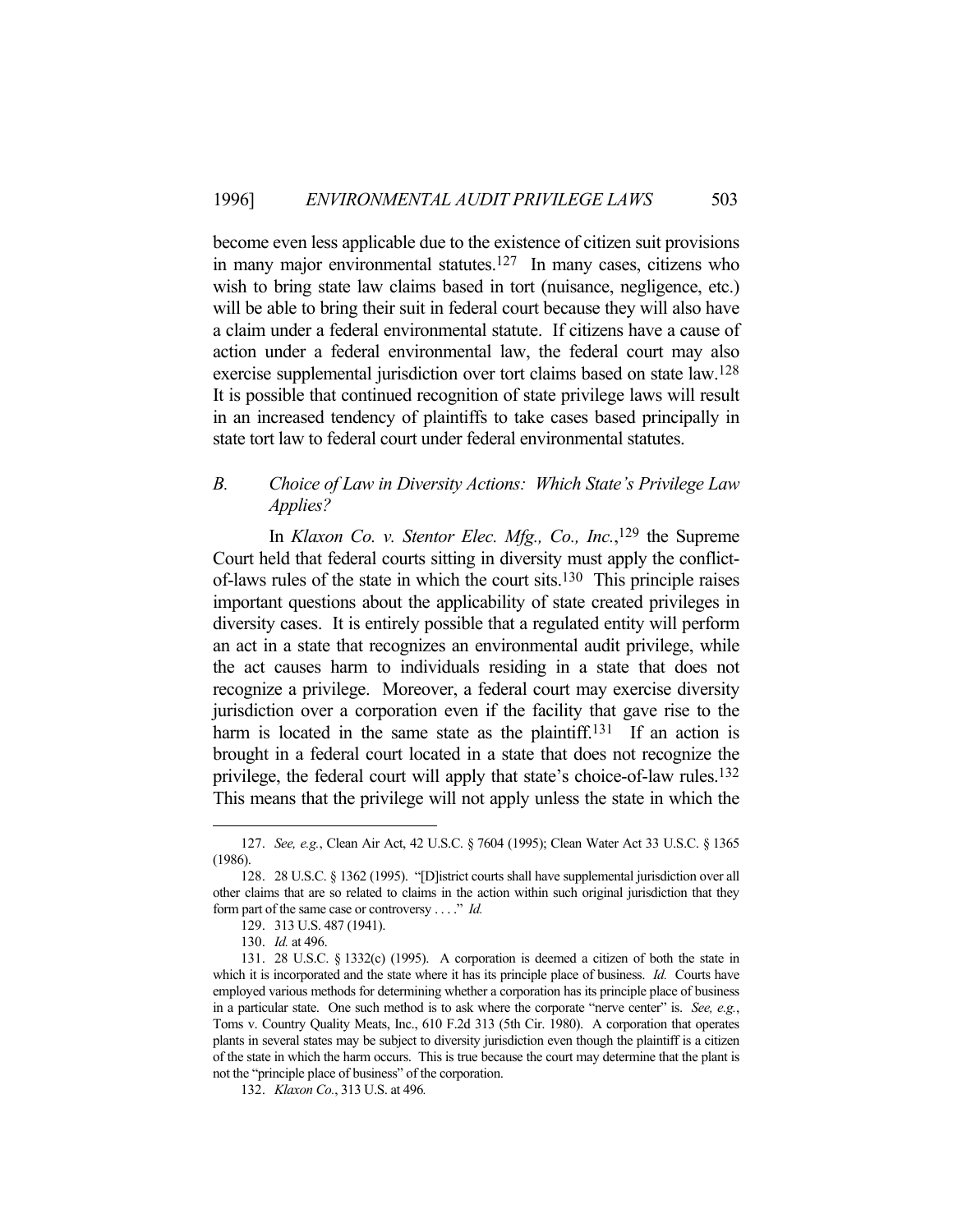become even less applicable due to the existence of citizen suit provisions in many major environmental statutes.<sup>127</sup> In many cases, citizens who wish to bring state law claims based in tort (nuisance, negligence, etc.) will be able to bring their suit in federal court because they will also have a claim under a federal environmental statute. If citizens have a cause of action under a federal environmental law, the federal court may also exercise supplemental jurisdiction over tort claims based on state law.128 It is possible that continued recognition of state privilege laws will result in an increased tendency of plaintiffs to take cases based principally in state tort law to federal court under federal environmental statutes.

# *B. Choice of Law in Diversity Actions: Which State's Privilege Law Applies?*

In *Klaxon Co. v. Stentor Elec. Mfg., Co., Inc.*,<sup>129</sup> the Supreme Court held that federal courts sitting in diversity must apply the conflictof-laws rules of the state in which the court sits.130 This principle raises important questions about the applicability of state created privileges in diversity cases. It is entirely possible that a regulated entity will perform an act in a state that recognizes an environmental audit privilege, while the act causes harm to individuals residing in a state that does not recognize a privilege. Moreover, a federal court may exercise diversity jurisdiction over a corporation even if the facility that gave rise to the harm is located in the same state as the plaintiff.<sup>131</sup> If an action is brought in a federal court located in a state that does not recognize the privilege, the federal court will apply that state's choice-of-law rules.132 This means that the privilege will not apply unless the state in which the

 <sup>127.</sup> *See, e.g.*, Clean Air Act, 42 U.S.C. § 7604 (1995); Clean Water Act 33 U.S.C. § 1365 (1986).

 <sup>128. 28</sup> U.S.C. § 1362 (1995). "[D]istrict courts shall have supplemental jurisdiction over all other claims that are so related to claims in the action within such original jurisdiction that they form part of the same case or controversy . . . ." *Id.*

 <sup>129. 313</sup> U.S. 487 (1941).

 <sup>130.</sup> *Id.* at 496.

 <sup>131. 28</sup> U.S.C. § 1332(c) (1995). A corporation is deemed a citizen of both the state in which it is incorporated and the state where it has its principle place of business. *Id.* Courts have employed various methods for determining whether a corporation has its principle place of business in a particular state. One such method is to ask where the corporate "nerve center" is. *See, e.g.*, Toms v. Country Quality Meats, Inc., 610 F.2d 313 (5th Cir. 1980). A corporation that operates plants in several states may be subject to diversity jurisdiction even though the plaintiff is a citizen of the state in which the harm occurs. This is true because the court may determine that the plant is not the "principle place of business" of the corporation.

 <sup>132.</sup> *Klaxon Co.*, 313 U.S. at 496*.*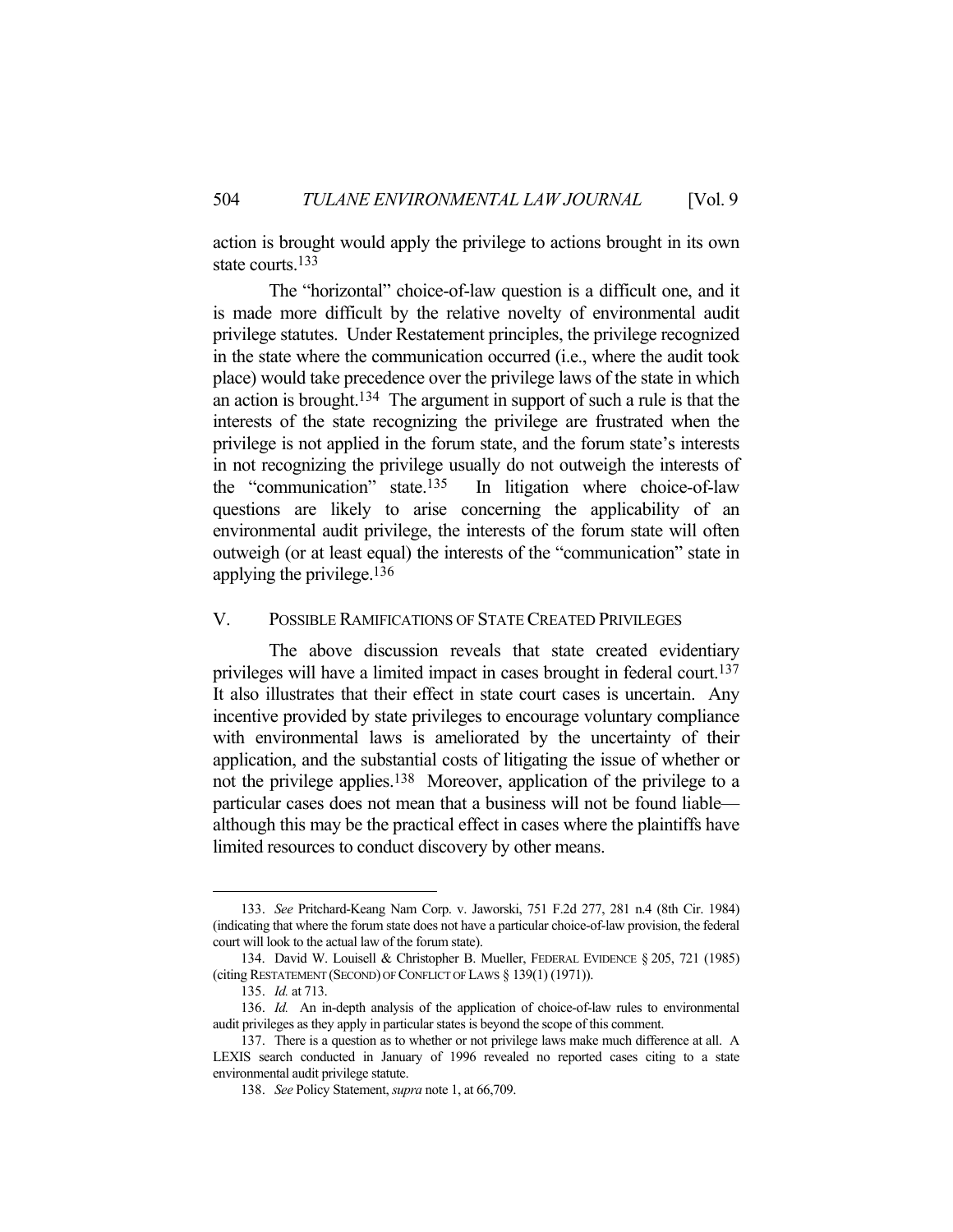action is brought would apply the privilege to actions brought in its own state courts.<sup>133</sup>

 The "horizontal" choice-of-law question is a difficult one, and it is made more difficult by the relative novelty of environmental audit privilege statutes. Under Restatement principles, the privilege recognized in the state where the communication occurred (i.e., where the audit took place) would take precedence over the privilege laws of the state in which an action is brought.134 The argument in support of such a rule is that the interests of the state recognizing the privilege are frustrated when the privilege is not applied in the forum state, and the forum state's interests in not recognizing the privilege usually do not outweigh the interests of the "communication" state.135 In litigation where choice-of-law questions are likely to arise concerning the applicability of an environmental audit privilege, the interests of the forum state will often outweigh (or at least equal) the interests of the "communication" state in applying the privilege.136

# V. POSSIBLE RAMIFICATIONS OF STATE CREATED PRIVILEGES

 The above discussion reveals that state created evidentiary privileges will have a limited impact in cases brought in federal court.137 It also illustrates that their effect in state court cases is uncertain. Any incentive provided by state privileges to encourage voluntary compliance with environmental laws is ameliorated by the uncertainty of their application, and the substantial costs of litigating the issue of whether or not the privilege applies.138 Moreover, application of the privilege to a particular cases does not mean that a business will not be found liable although this may be the practical effect in cases where the plaintiffs have limited resources to conduct discovery by other means.

 <sup>133.</sup> *See* Pritchard-Keang Nam Corp. v. Jaworski, 751 F.2d 277, 281 n.4 (8th Cir. 1984) (indicating that where the forum state does not have a particular choice-of-law provision, the federal court will look to the actual law of the forum state).

 <sup>134.</sup> David W. Louisell & Christopher B. Mueller, FEDERAL EVIDENCE § 205, 721 (1985) (citing RESTATEMENT (SECOND) OF CONFLICT OF LAWS § 139(1) (1971)).

 <sup>135.</sup> *Id.* at 713.

 <sup>136.</sup> *Id.* An in-depth analysis of the application of choice-of-law rules to environmental audit privileges as they apply in particular states is beyond the scope of this comment.

 <sup>137.</sup> There is a question as to whether or not privilege laws make much difference at all. A LEXIS search conducted in January of 1996 revealed no reported cases citing to a state environmental audit privilege statute.

 <sup>138.</sup> *See* Policy Statement, *supra* note 1, at 66,709.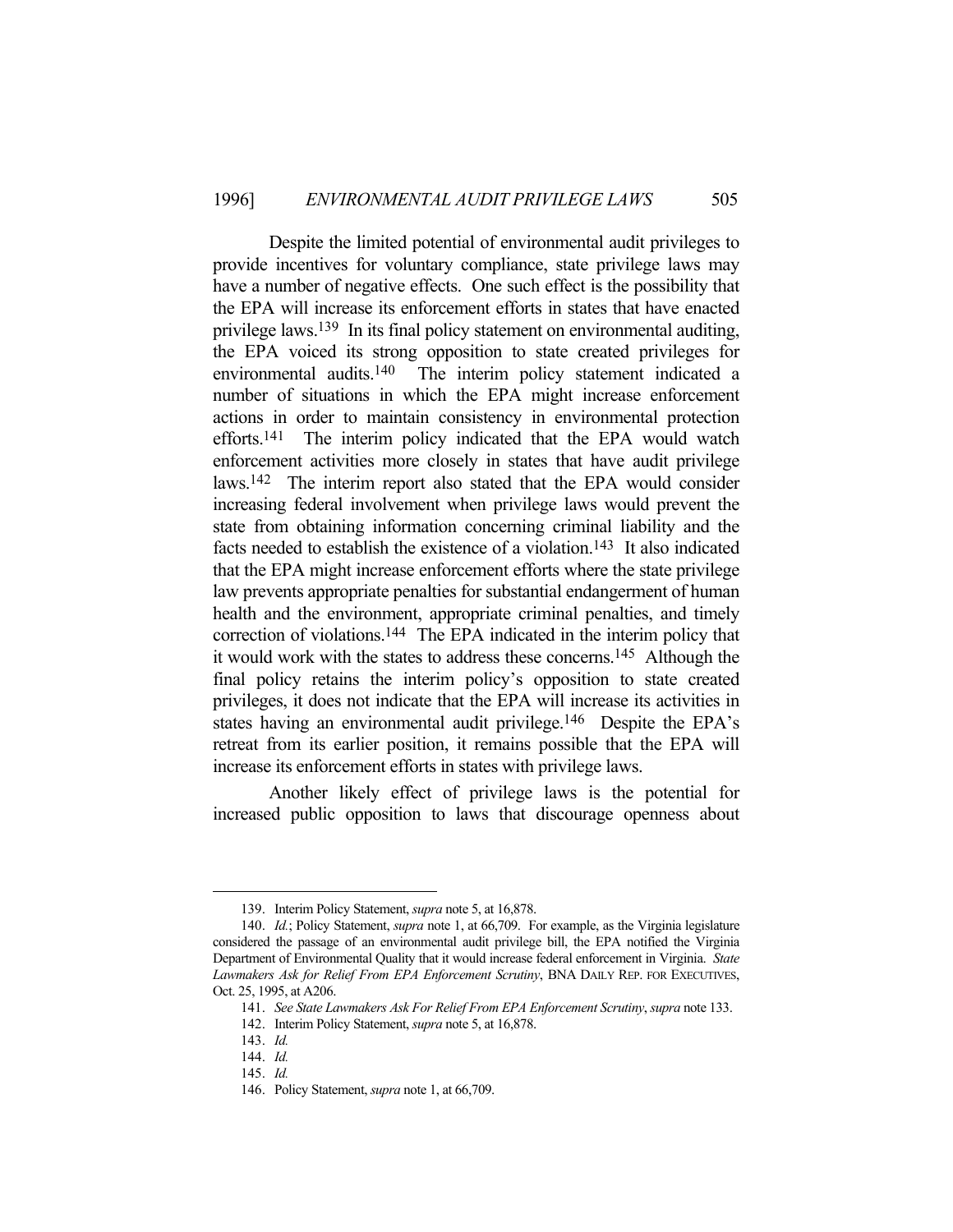Despite the limited potential of environmental audit privileges to provide incentives for voluntary compliance, state privilege laws may have a number of negative effects. One such effect is the possibility that the EPA will increase its enforcement efforts in states that have enacted privilege laws.139 In its final policy statement on environmental auditing, the EPA voiced its strong opposition to state created privileges for environmental audits.140 The interim policy statement indicated a number of situations in which the EPA might increase enforcement actions in order to maintain consistency in environmental protection efforts.141 The interim policy indicated that the EPA would watch enforcement activities more closely in states that have audit privilege laws.142 The interim report also stated that the EPA would consider increasing federal involvement when privilege laws would prevent the state from obtaining information concerning criminal liability and the facts needed to establish the existence of a violation.143 It also indicated that the EPA might increase enforcement efforts where the state privilege law prevents appropriate penalties for substantial endangerment of human health and the environment, appropriate criminal penalties, and timely correction of violations.144 The EPA indicated in the interim policy that it would work with the states to address these concerns.145 Although the final policy retains the interim policy's opposition to state created privileges, it does not indicate that the EPA will increase its activities in states having an environmental audit privilege.<sup>146</sup> Despite the EPA's retreat from its earlier position, it remains possible that the EPA will increase its enforcement efforts in states with privilege laws.

 Another likely effect of privilege laws is the potential for increased public opposition to laws that discourage openness about

 <sup>139.</sup> Interim Policy Statement, *supra* note 5, at 16,878.

 <sup>140.</sup> *Id.*; Policy Statement, *supra* note 1, at 66,709. For example, as the Virginia legislature considered the passage of an environmental audit privilege bill, the EPA notified the Virginia Department of Environmental Quality that it would increase federal enforcement in Virginia. *State Lawmakers Ask for Relief From EPA Enforcement Scrutiny*, BNA DAILY REP. FOR EXECUTIVES, Oct. 25, 1995, at A206.

 <sup>141.</sup> *See State Lawmakers Ask For Relief From EPA Enforcement Scrutiny*, *supra* note 133.

 <sup>142.</sup> Interim Policy Statement, *supra* note 5, at 16,878.

 <sup>143.</sup> *Id.*

 <sup>144.</sup> *Id.*

 <sup>145.</sup> *Id.*

 <sup>146.</sup> Policy Statement, *supra* note 1, at 66,709.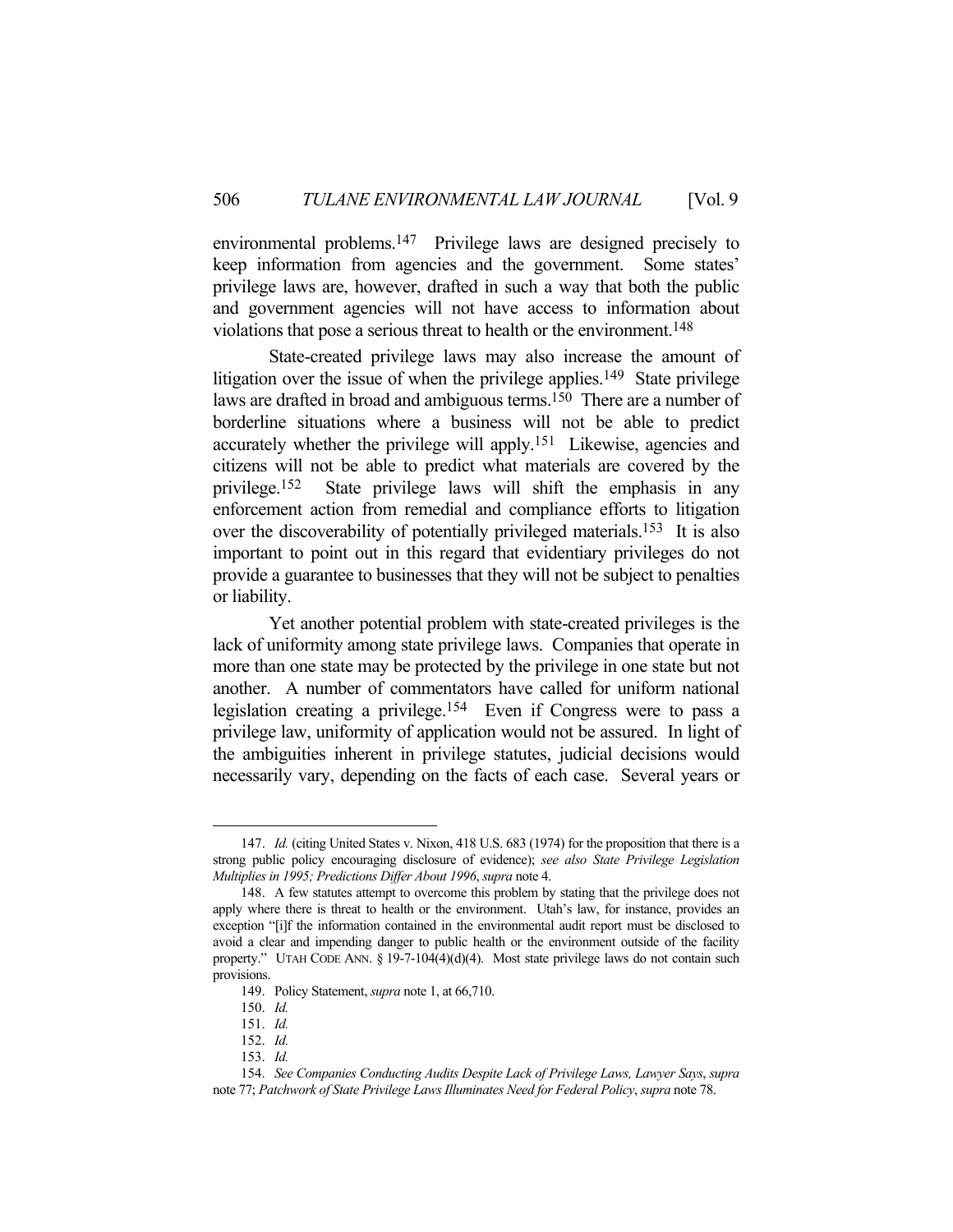environmental problems.147 Privilege laws are designed precisely to keep information from agencies and the government. Some states' privilege laws are, however, drafted in such a way that both the public and government agencies will not have access to information about violations that pose a serious threat to health or the environment.148

 State-created privilege laws may also increase the amount of litigation over the issue of when the privilege applies.<sup>149</sup> State privilege laws are drafted in broad and ambiguous terms.<sup>150</sup> There are a number of borderline situations where a business will not be able to predict accurately whether the privilege will apply.151 Likewise, agencies and citizens will not be able to predict what materials are covered by the privilege.152 State privilege laws will shift the emphasis in any enforcement action from remedial and compliance efforts to litigation over the discoverability of potentially privileged materials.<sup>153</sup> It is also important to point out in this regard that evidentiary privileges do not provide a guarantee to businesses that they will not be subject to penalties or liability.

 Yet another potential problem with state-created privileges is the lack of uniformity among state privilege laws. Companies that operate in more than one state may be protected by the privilege in one state but not another. A number of commentators have called for uniform national legislation creating a privilege.154 Even if Congress were to pass a privilege law, uniformity of application would not be assured. In light of the ambiguities inherent in privilege statutes, judicial decisions would necessarily vary, depending on the facts of each case. Several years or

 <sup>147.</sup> *Id.* (citing United States v. Nixon, 418 U.S. 683 (1974) for the proposition that there is a strong public policy encouraging disclosure of evidence); *see also State Privilege Legislation Multiplies in 1995; Predictions Differ About 1996*, *supra* note 4.

 <sup>148.</sup> A few statutes attempt to overcome this problem by stating that the privilege does not apply where there is threat to health or the environment. Utah's law, for instance, provides an exception "[i]f the information contained in the environmental audit report must be disclosed to avoid a clear and impending danger to public health or the environment outside of the facility property." UTAH CODE ANN. § 19-7-104(4)(d)(4). Most state privilege laws do not contain such provisions.

 <sup>149.</sup> Policy Statement, *supra* note 1, at 66,710.

 <sup>150.</sup> *Id.*

 <sup>151.</sup> *Id.*

 <sup>152.</sup> *Id.*

 <sup>153.</sup> *Id.*

 <sup>154.</sup> *See Companies Conducting Audits Despite Lack of Privilege Laws, Lawyer Says*, *supra* note 77; *Patchwork of State Privilege Laws Illuminates Need for Federal Policy*, *supra* note 78.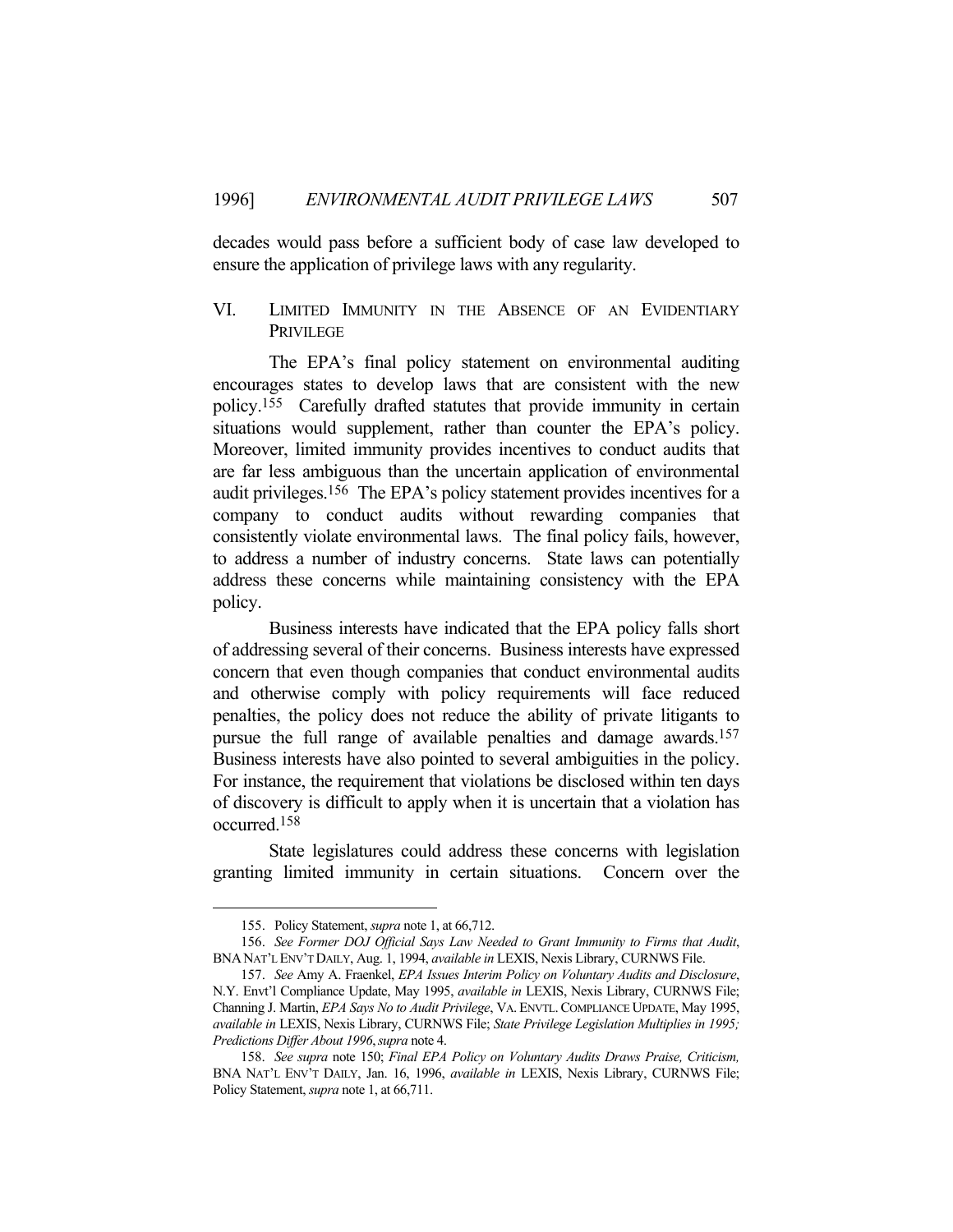decades would pass before a sufficient body of case law developed to ensure the application of privilege laws with any regularity.

# VI. LIMITED IMMUNITY IN THE ABSENCE OF AN EVIDENTIARY PRIVILEGE

 The EPA's final policy statement on environmental auditing encourages states to develop laws that are consistent with the new policy.155 Carefully drafted statutes that provide immunity in certain situations would supplement, rather than counter the EPA's policy. Moreover, limited immunity provides incentives to conduct audits that are far less ambiguous than the uncertain application of environmental audit privileges.156 The EPA's policy statement provides incentives for a company to conduct audits without rewarding companies that consistently violate environmental laws. The final policy fails, however, to address a number of industry concerns. State laws can potentially address these concerns while maintaining consistency with the EPA policy.

 Business interests have indicated that the EPA policy falls short of addressing several of their concerns. Business interests have expressed concern that even though companies that conduct environmental audits and otherwise comply with policy requirements will face reduced penalties, the policy does not reduce the ability of private litigants to pursue the full range of available penalties and damage awards.157 Business interests have also pointed to several ambiguities in the policy. For instance, the requirement that violations be disclosed within ten days of discovery is difficult to apply when it is uncertain that a violation has occurred.158

 State legislatures could address these concerns with legislation granting limited immunity in certain situations. Concern over the

 <sup>155.</sup> Policy Statement, *supra* note 1, at 66,712.

 <sup>156.</sup> *See Former DOJ Official Says Law Needed to Grant Immunity to Firms that Audit*, BNANAT'L ENV'T DAILY, Aug. 1, 1994, *available in* LEXIS, Nexis Library, CURNWS File.

 <sup>157.</sup> *See* Amy A. Fraenkel, *EPA Issues Interim Policy on Voluntary Audits and Disclosure*, N.Y. Envt'l Compliance Update, May 1995, *available in* LEXIS, Nexis Library, CURNWS File; Channing J. Martin, *EPA Says No to Audit Privilege*, VA. ENVTL.COMPLIANCE UPDATE, May 1995, *available in* LEXIS, Nexis Library, CURNWS File; *State Privilege Legislation Multiplies in 1995; Predictions Differ About 1996*,*supra* note 4.

 <sup>158.</sup> *See supra* note 150; *Final EPA Policy on Voluntary Audits Draws Praise, Criticism,* BNA NAT'L ENV'T DAILY, Jan. 16, 1996, *available in* LEXIS, Nexis Library, CURNWS File; Policy Statement, *supra* note 1, at 66,711.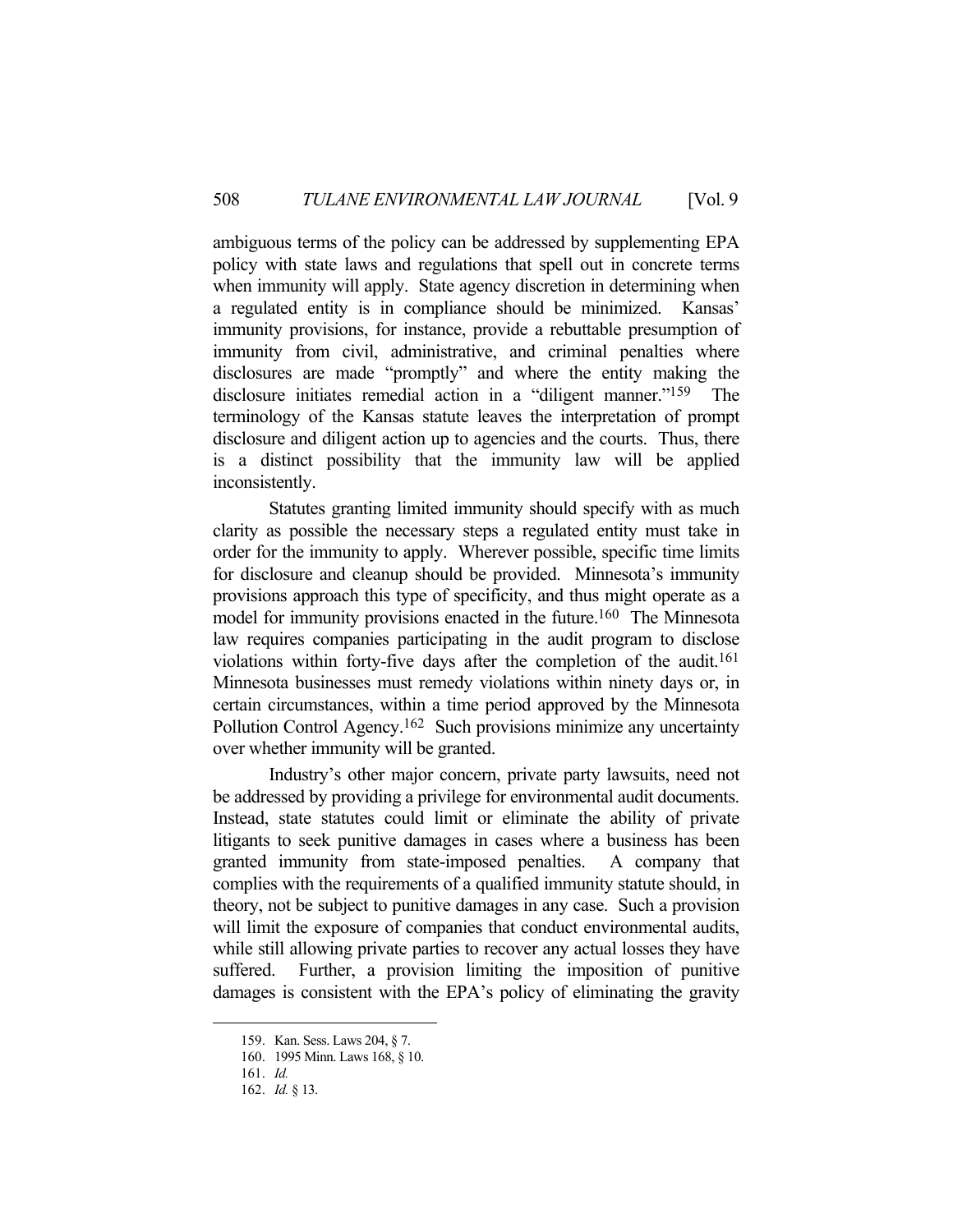ambiguous terms of the policy can be addressed by supplementing EPA policy with state laws and regulations that spell out in concrete terms when immunity will apply. State agency discretion in determining when a regulated entity is in compliance should be minimized. Kansas' immunity provisions, for instance, provide a rebuttable presumption of immunity from civil, administrative, and criminal penalties where disclosures are made "promptly" and where the entity making the disclosure initiates remedial action in a "diligent manner."<sup>159</sup> The terminology of the Kansas statute leaves the interpretation of prompt disclosure and diligent action up to agencies and the courts. Thus, there is a distinct possibility that the immunity law will be applied inconsistently.

 Statutes granting limited immunity should specify with as much clarity as possible the necessary steps a regulated entity must take in order for the immunity to apply. Wherever possible, specific time limits for disclosure and cleanup should be provided. Minnesota's immunity provisions approach this type of specificity, and thus might operate as a model for immunity provisions enacted in the future.<sup>160</sup> The Minnesota law requires companies participating in the audit program to disclose violations within forty-five days after the completion of the audit.161 Minnesota businesses must remedy violations within ninety days or, in certain circumstances, within a time period approved by the Minnesota Pollution Control Agency.<sup>162</sup> Such provisions minimize any uncertainty over whether immunity will be granted.

 Industry's other major concern, private party lawsuits, need not be addressed by providing a privilege for environmental audit documents. Instead, state statutes could limit or eliminate the ability of private litigants to seek punitive damages in cases where a business has been granted immunity from state-imposed penalties. A company that complies with the requirements of a qualified immunity statute should, in theory, not be subject to punitive damages in any case. Such a provision will limit the exposure of companies that conduct environmental audits, while still allowing private parties to recover any actual losses they have suffered. Further, a provision limiting the imposition of punitive damages is consistent with the EPA's policy of eliminating the gravity

 <sup>159.</sup> Kan. Sess. Laws 204, § 7.

 <sup>160. 1995</sup> Minn. Laws 168, § 10.

 <sup>161.</sup> *Id.*

 <sup>162.</sup> *Id.* § 13.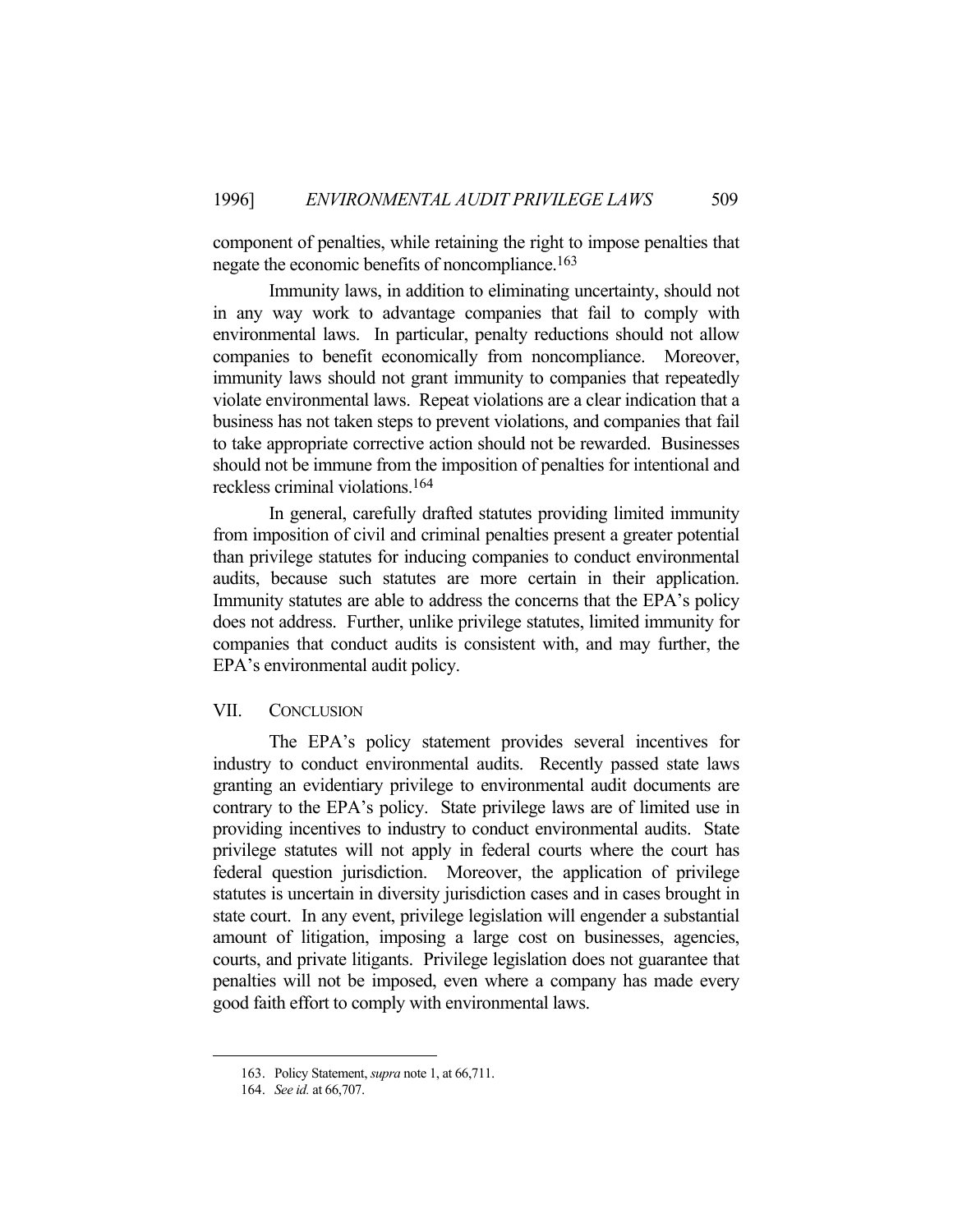component of penalties, while retaining the right to impose penalties that negate the economic benefits of noncompliance.<sup>163</sup>

 Immunity laws, in addition to eliminating uncertainty, should not in any way work to advantage companies that fail to comply with environmental laws. In particular, penalty reductions should not allow companies to benefit economically from noncompliance. Moreover, immunity laws should not grant immunity to companies that repeatedly violate environmental laws. Repeat violations are a clear indication that a business has not taken steps to prevent violations, and companies that fail to take appropriate corrective action should not be rewarded. Businesses should not be immune from the imposition of penalties for intentional and reckless criminal violations.164

 In general, carefully drafted statutes providing limited immunity from imposition of civil and criminal penalties present a greater potential than privilege statutes for inducing companies to conduct environmental audits, because such statutes are more certain in their application. Immunity statutes are able to address the concerns that the EPA's policy does not address. Further, unlike privilege statutes, limited immunity for companies that conduct audits is consistent with, and may further, the EPA's environmental audit policy.

## VII. CONCLUSION

 The EPA's policy statement provides several incentives for industry to conduct environmental audits. Recently passed state laws granting an evidentiary privilege to environmental audit documents are contrary to the EPA's policy. State privilege laws are of limited use in providing incentives to industry to conduct environmental audits. State privilege statutes will not apply in federal courts where the court has federal question jurisdiction. Moreover, the application of privilege statutes is uncertain in diversity jurisdiction cases and in cases brought in state court. In any event, privilege legislation will engender a substantial amount of litigation, imposing a large cost on businesses, agencies, courts, and private litigants. Privilege legislation does not guarantee that penalties will not be imposed, even where a company has made every good faith effort to comply with environmental laws.

 <sup>163.</sup> Policy Statement, *supra* note 1, at 66,711.

 <sup>164.</sup> *See id.* at 66,707.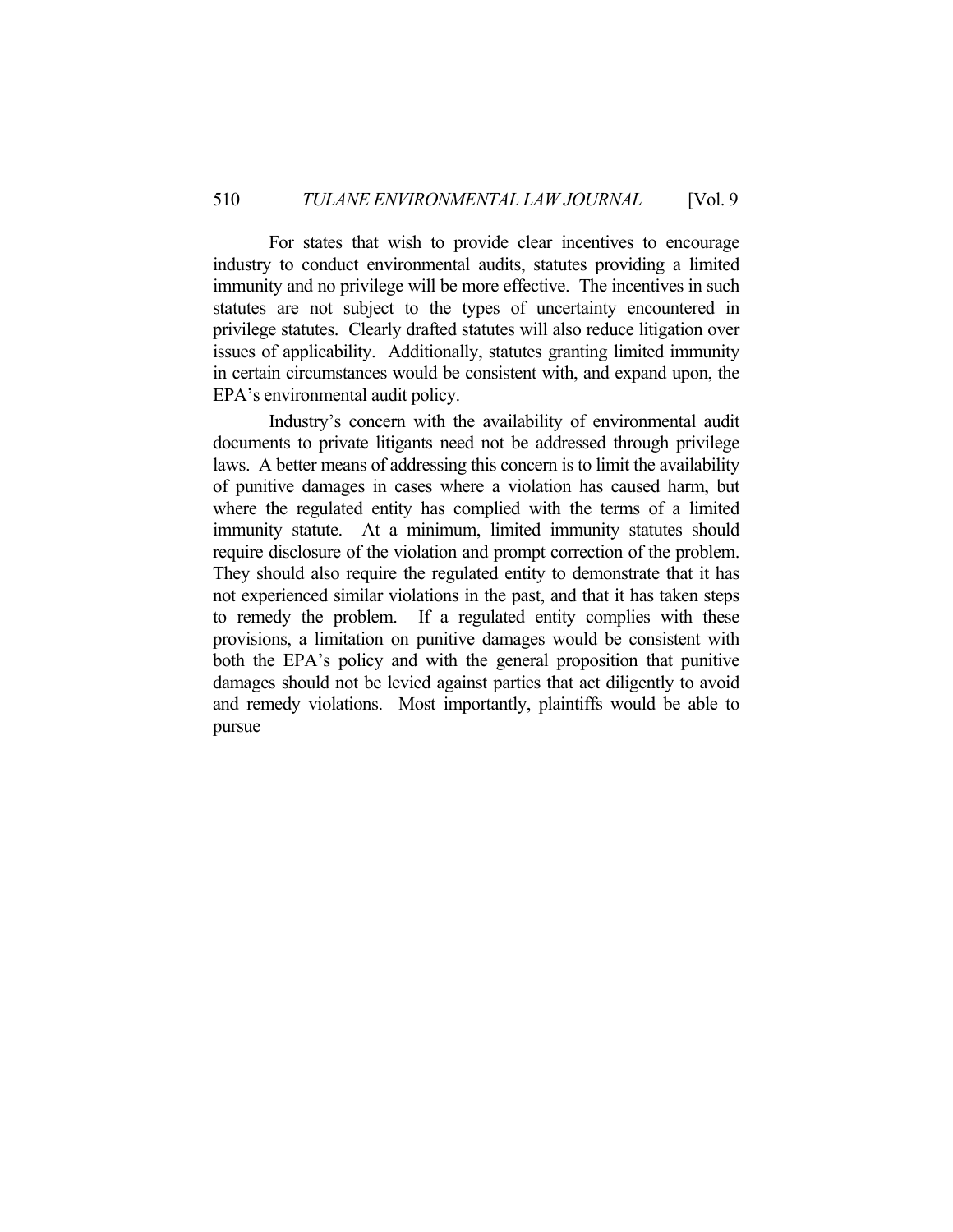For states that wish to provide clear incentives to encourage industry to conduct environmental audits, statutes providing a limited immunity and no privilege will be more effective. The incentives in such statutes are not subject to the types of uncertainty encountered in privilege statutes. Clearly drafted statutes will also reduce litigation over issues of applicability. Additionally, statutes granting limited immunity in certain circumstances would be consistent with, and expand upon, the EPA's environmental audit policy.

 Industry's concern with the availability of environmental audit documents to private litigants need not be addressed through privilege laws. A better means of addressing this concern is to limit the availability of punitive damages in cases where a violation has caused harm, but where the regulated entity has complied with the terms of a limited immunity statute. At a minimum, limited immunity statutes should require disclosure of the violation and prompt correction of the problem. They should also require the regulated entity to demonstrate that it has not experienced similar violations in the past, and that it has taken steps to remedy the problem. If a regulated entity complies with these provisions, a limitation on punitive damages would be consistent with both the EPA's policy and with the general proposition that punitive damages should not be levied against parties that act diligently to avoid and remedy violations. Most importantly, plaintiffs would be able to pursue